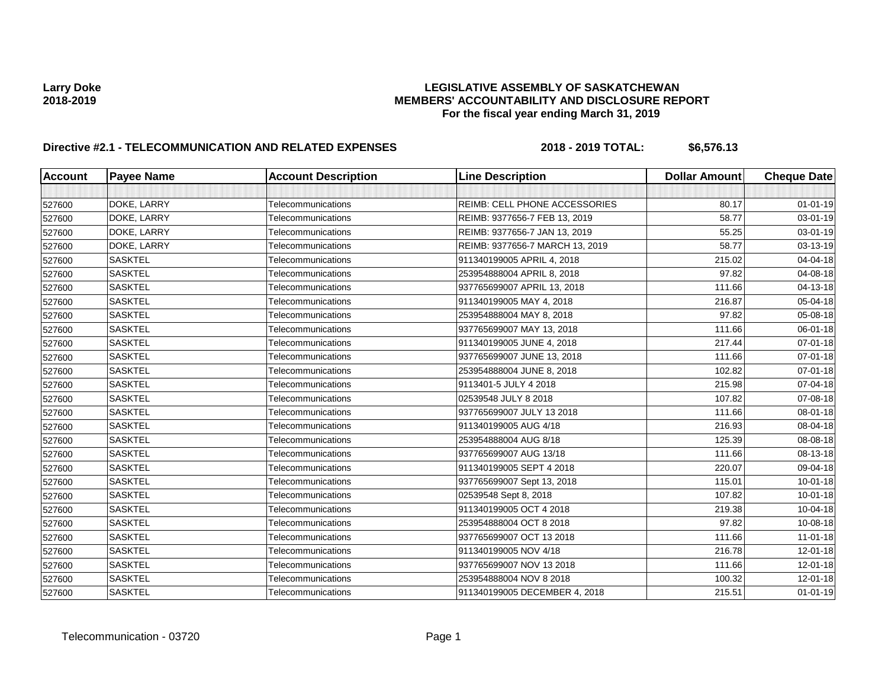| <b>Account</b> | <b>Payee Name</b> | <b>Account Description</b> | <b>Line Description</b>              | <b>Dollar Amount</b> | <b>Cheque Date</b> |
|----------------|-------------------|----------------------------|--------------------------------------|----------------------|--------------------|
|                |                   |                            |                                      |                      |                    |
| 527600         | DOKE, LARRY       | Telecommunications         | <b>REIMB: CELL PHONE ACCESSORIES</b> | 80.17                | $01 - 01 - 19$     |
| 527600         | DOKE, LARRY       | Telecommunications         | REIMB: 9377656-7 FEB 13, 2019        | 58.77                | 03-01-19           |
| 527600         | DOKE, LARRY       | Telecommunications         | REIMB: 9377656-7 JAN 13, 2019        | 55.25                | 03-01-19           |
| 527600         | DOKE, LARRY       | Telecommunications         | REIMB: 9377656-7 MARCH 13, 2019      | 58.77                | 03-13-19           |
| 527600         | <b>SASKTEL</b>    | Telecommunications         | 911340199005 APRIL 4, 2018           | 215.02               | 04-04-18           |
| 527600         | <b>SASKTEL</b>    | Telecommunications         | 253954888004 APRIL 8, 2018           | 97.82                | 04-08-18           |
| 527600         | <b>SASKTEL</b>    | Telecommunications         | 937765699007 APRIL 13, 2018          | 111.66               | 04-13-18           |
| 527600         | <b>SASKTEL</b>    | Telecommunications         | 911340199005 MAY 4, 2018             | 216.87               | 05-04-18           |
| 527600         | <b>SASKTEL</b>    | Telecommunications         | 253954888004 MAY 8, 2018             | 97.82                | 05-08-18           |
| 527600         | <b>SASKTEL</b>    | Telecommunications         | 937765699007 MAY 13, 2018            | 111.66               | 06-01-18           |
| 527600         | <b>SASKTEL</b>    | Telecommunications         | 911340199005 JUNE 4, 2018            | 217.44               | 07-01-18           |
| 527600         | <b>SASKTEL</b>    | Telecommunications         | 937765699007 JUNE 13, 2018           | 111.66               | 07-01-18           |
| 527600         | <b>SASKTEL</b>    | Telecommunications         | 253954888004 JUNE 8, 2018            | 102.82               | 07-01-18           |
| 527600         | <b>SASKTEL</b>    | Telecommunications         | 9113401-5 JULY 4 2018                | 215.98               | 07-04-18           |
| 527600         | <b>SASKTEL</b>    | Telecommunications         | 02539548 JULY 8 2018                 | 107.82               | 07-08-18           |
| 527600         | <b>SASKTEL</b>    | Telecommunications         | 937765699007 JULY 13 2018            | 111.66               | 08-01-18           |
| 527600         | <b>SASKTEL</b>    | Telecommunications         | 911340199005 AUG 4/18                | 216.93               | 08-04-18           |
| 527600         | <b>SASKTEL</b>    | Telecommunications         | 253954888004 AUG 8/18                | 125.39               | 08-08-18           |
| 527600         | <b>SASKTEL</b>    | Telecommunications         | 937765699007 AUG 13/18               | 111.66               | 08-13-18           |
| 527600         | <b>SASKTEL</b>    | Telecommunications         | 911340199005 SEPT 4 2018             | 220.07               | 09-04-18           |
| 527600         | <b>SASKTEL</b>    | Telecommunications         | 937765699007 Sept 13, 2018           | 115.01               | $10 - 01 - 18$     |
| 527600         | <b>SASKTEL</b>    | Telecommunications         | 02539548 Sept 8, 2018                | 107.82               | 10-01-18           |
| 527600         | <b>SASKTEL</b>    | Telecommunications         | 911340199005 OCT 4 2018              | 219.38               | 10-04-18           |
| 527600         | <b>SASKTEL</b>    | Telecommunications         | 253954888004 OCT 8 2018              | 97.82                | 10-08-18           |
| 527600         | <b>SASKTEL</b>    | Telecommunications         | 937765699007 OCT 13 2018             | 111.66               | 11-01-18           |
| 527600         | <b>SASKTEL</b>    | Telecommunications         | 911340199005 NOV 4/18                | 216.78               | $12 - 01 - 18$     |
| 527600         | <b>SASKTEL</b>    | Telecommunications         | 937765699007 NOV 13 2018             | 111.66               | $12 - 01 - 18$     |
| 527600         | <b>SASKTEL</b>    | Telecommunications         | 253954888004 NOV 8 2018              | 100.32               | 12-01-18           |
| 527600         | <b>SASKTEL</b>    | Telecommunications         | 911340199005 DECEMBER 4, 2018        | 215.51               | $01 - 01 - 19$     |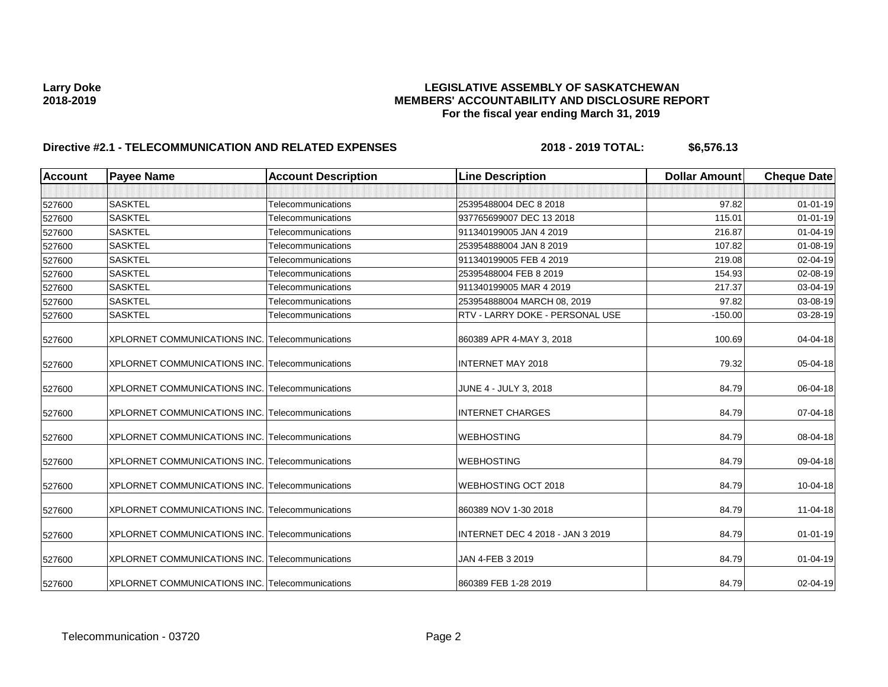| <b>Account</b> | <b>Payee Name</b>                                      | <b>Account Description</b> | <b>Line Description</b>          | <b>Dollar Amount</b> | <b>Cheque Date</b> |
|----------------|--------------------------------------------------------|----------------------------|----------------------------------|----------------------|--------------------|
|                |                                                        |                            |                                  |                      |                    |
| 527600         | <b>SASKTEL</b>                                         | Telecommunications         | 25395488004 DEC 8 2018           | 97.82                | $01 - 01 - 19$     |
| 527600         | <b>SASKTEL</b>                                         | Telecommunications         | 937765699007 DEC 13 2018         | 115.01               | $01 - 01 - 19$     |
| 527600         | <b>SASKTEL</b>                                         | Telecommunications         | 911340199005 JAN 4 2019          | 216.87               | 01-04-19           |
| 527600         | <b>SASKTEL</b>                                         | Telecommunications         | 253954888004 JAN 8 2019          | 107.82               | $01 - 08 - 19$     |
| 527600         | <b>SASKTEL</b>                                         | Telecommunications         | 911340199005 FEB 4 2019          | 219.08               | 02-04-19           |
| 527600         | <b>SASKTEL</b>                                         | Telecommunications         | 25395488004 FEB 8 2019           | 154.93               | 02-08-19           |
| 527600         | <b>SASKTEL</b>                                         | Telecommunications         | 911340199005 MAR 4 2019          | 217.37               | 03-04-19           |
| 527600         | <b>SASKTEL</b>                                         | Telecommunications         | 253954888004 MARCH 08, 2019      | 97.82                | 03-08-19           |
| 527600         | <b>SASKTEL</b>                                         | Telecommunications         | RTV - LARRY DOKE - PERSONAL USE  | $-150.00$            | 03-28-19           |
| 527600         | <b>XPLORNET COMMUNICATIONS INC.</b>                    | Telecommunications         | 860389 APR 4-MAY 3, 2018         | 100.69               | 04-04-18           |
| 527600         | XPLORNET COMMUNICATIONS INC. Telecommunications        |                            | <b>INTERNET MAY 2018</b>         | 79.32                | 05-04-18           |
| 527600         | <b>XPLORNET COMMUNICATIONS INC. Telecommunications</b> |                            | JUNE 4 - JULY 3, 2018            | 84.79                | 06-04-18           |
| 527600         | XPLORNET COMMUNICATIONS INC. Telecommunications        |                            | <b>INTERNET CHARGES</b>          | 84.79                | 07-04-18           |
| 527600         | <b>XPLORNET COMMUNICATIONS INC. Telecommunications</b> |                            | <b>WEBHOSTING</b>                | 84.79                | 08-04-18           |
| 527600         | XPLORNET COMMUNICATIONS INC. Telecommunications        |                            | <b>WEBHOSTING</b>                | 84.79                | 09-04-18           |
| 527600         | XPLORNET COMMUNICATIONS INC. Telecommunications        |                            | WEBHOSTING OCT 2018              | 84.79                | 10-04-18           |
| 527600         | <b>XPLORNET COMMUNICATIONS INC. Telecommunications</b> |                            | 860389 NOV 1-30 2018             | 84.79                | 11-04-18           |
| 527600         | XPLORNET COMMUNICATIONS INC. Telecommunications        |                            | INTERNET DEC 4 2018 - JAN 3 2019 | 84.79                | $01 - 01 - 19$     |
| 527600         | <b>XPLORNET COMMUNICATIONS INC. Telecommunications</b> |                            | JAN 4-FEB 3 2019                 | 84.79                | $01 - 04 - 19$     |
| 527600         | XPLORNET COMMUNICATIONS INC. Telecommunications        |                            | 860389 FEB 1-28 2019             | 84.79                | 02-04-19           |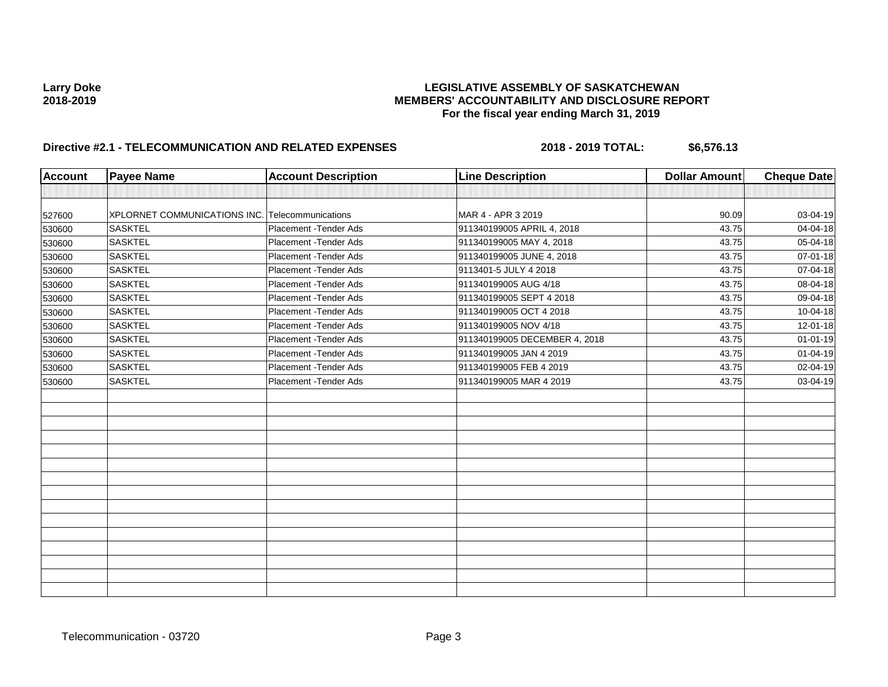| <b>Account</b> | <b>Payee Name</b>                               | <b>Account Description</b> | <b>Line Description</b>       | <b>Dollar Amount</b> | <b>Cheque Date</b> |
|----------------|-------------------------------------------------|----------------------------|-------------------------------|----------------------|--------------------|
|                |                                                 |                            |                               |                      |                    |
| 527600         | XPLORNET COMMUNICATIONS INC. Telecommunications |                            | MAR 4 - APR 3 2019            | 90.09                | 03-04-19           |
| 530600         | <b>SASKTEL</b>                                  | Placement - Tender Ads     | 911340199005 APRIL 4, 2018    | 43.75                | 04-04-18           |
| 530600         | <b>SASKTEL</b>                                  | Placement - Tender Ads     | 911340199005 MAY 4, 2018      | 43.75                | 05-04-18           |
| 530600         | <b>SASKTEL</b>                                  | Placement - Tender Ads     | 911340199005 JUNE 4, 2018     | 43.75                | 07-01-18           |
| 530600         | <b>SASKTEL</b>                                  | Placement - Tender Ads     | 9113401-5 JULY 4 2018         | 43.75                | 07-04-18           |
| 530600         | <b>SASKTEL</b>                                  | Placement - Tender Ads     | 911340199005 AUG 4/18         | 43.75                | 08-04-18           |
| 530600         | <b>SASKTEL</b>                                  | Placement - Tender Ads     | 911340199005 SEPT 4 2018      | 43.75                | 09-04-18           |
| 530600         | <b>SASKTEL</b>                                  | Placement - Tender Ads     | 911340199005 OCT 4 2018       | 43.75                | 10-04-18           |
| 530600         | <b>SASKTEL</b>                                  | Placement - Tender Ads     | 911340199005 NOV 4/18         | 43.75                | 12-01-18           |
| 530600         | <b>SASKTEL</b>                                  | Placement - Tender Ads     | 911340199005 DECEMBER 4, 2018 | 43.75                | $01 - 01 - 19$     |
| 530600         | <b>SASKTEL</b>                                  | Placement - Tender Ads     | 911340199005 JAN 4 2019       | 43.75                | $01 - 04 - 19$     |
| 530600         | <b>SASKTEL</b>                                  | Placement - Tender Ads     | 911340199005 FEB 4 2019       | 43.75                | 02-04-19           |
| 530600         | <b>SASKTEL</b>                                  | Placement - Tender Ads     | 911340199005 MAR 4 2019       | 43.75                | 03-04-19           |
|                |                                                 |                            |                               |                      |                    |
|                |                                                 |                            |                               |                      |                    |
|                |                                                 |                            |                               |                      |                    |
|                |                                                 |                            |                               |                      |                    |
|                |                                                 |                            |                               |                      |                    |
|                |                                                 |                            |                               |                      |                    |
|                |                                                 |                            |                               |                      |                    |
|                |                                                 |                            |                               |                      |                    |
|                |                                                 |                            |                               |                      |                    |
|                |                                                 |                            |                               |                      |                    |
|                |                                                 |                            |                               |                      |                    |
|                |                                                 |                            |                               |                      |                    |
|                |                                                 |                            |                               |                      |                    |
|                |                                                 |                            |                               |                      |                    |
|                |                                                 |                            |                               |                      |                    |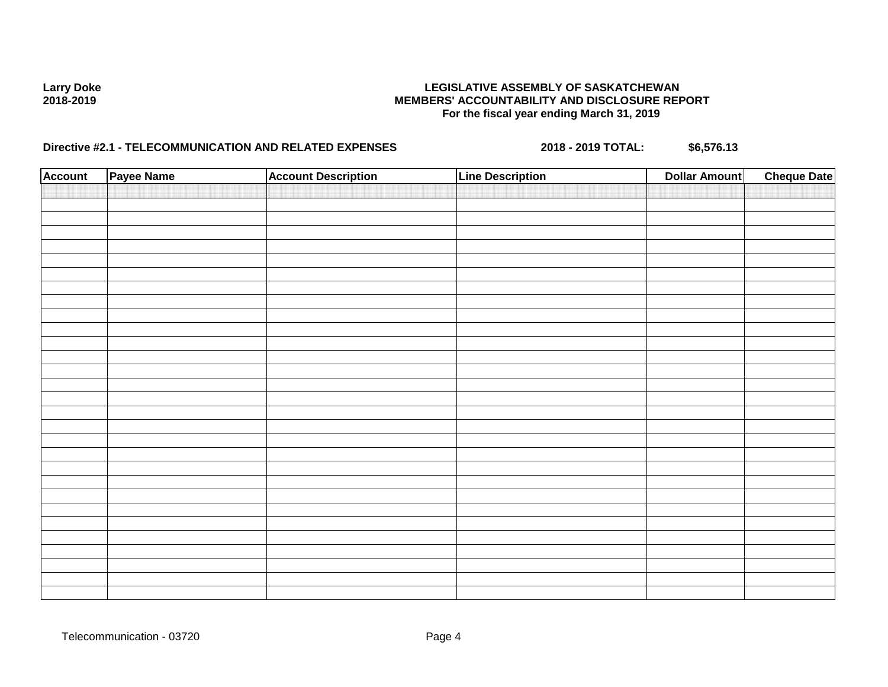| <b>Account</b> | Payee Name | <b>Account Description</b> | <b>Line Description</b> | <b>Dollar Amount</b> | <b>Cheque Date</b> |
|----------------|------------|----------------------------|-------------------------|----------------------|--------------------|
|                |            |                            |                         |                      |                    |
|                |            |                            |                         |                      |                    |
|                |            |                            |                         |                      |                    |
|                |            |                            |                         |                      |                    |
|                |            |                            |                         |                      |                    |
|                |            |                            |                         |                      |                    |
|                |            |                            |                         |                      |                    |
|                |            |                            |                         |                      |                    |
|                |            |                            |                         |                      |                    |
|                |            |                            |                         |                      |                    |
|                |            |                            |                         |                      |                    |
|                |            |                            |                         |                      |                    |
|                |            |                            |                         |                      |                    |
|                |            |                            |                         |                      |                    |
|                |            |                            |                         |                      |                    |
|                |            |                            |                         |                      |                    |
|                |            |                            |                         |                      |                    |
|                |            |                            |                         |                      |                    |
|                |            |                            |                         |                      |                    |
|                |            |                            |                         |                      |                    |
|                |            |                            |                         |                      |                    |
|                |            |                            |                         |                      |                    |
|                |            |                            |                         |                      |                    |
|                |            |                            |                         |                      |                    |
|                |            |                            |                         |                      |                    |
|                |            |                            |                         |                      |                    |
|                |            |                            |                         |                      |                    |
|                |            |                            |                         |                      |                    |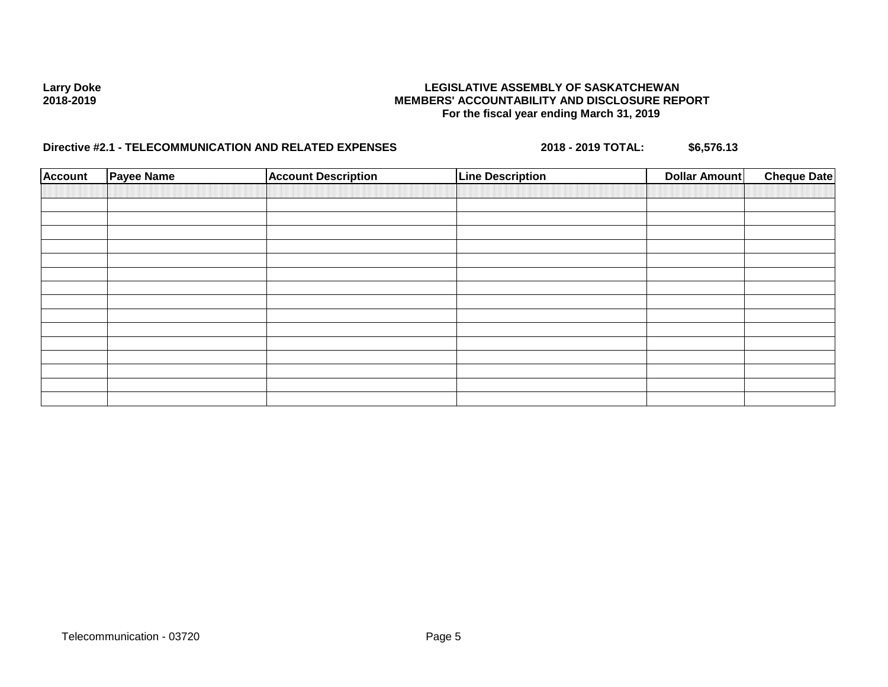| <b>Account</b> | <b>Payee Name</b> | <b>Account Description</b> | <b>Line Description</b> | <b>Dollar Amount</b> | <b>Cheque Date</b> |
|----------------|-------------------|----------------------------|-------------------------|----------------------|--------------------|
|                |                   |                            |                         |                      |                    |
|                |                   |                            |                         |                      |                    |
|                |                   |                            |                         |                      |                    |
|                |                   |                            |                         |                      |                    |
|                |                   |                            |                         |                      |                    |
|                |                   |                            |                         |                      |                    |
|                |                   |                            |                         |                      |                    |
|                |                   |                            |                         |                      |                    |
|                |                   |                            |                         |                      |                    |
|                |                   |                            |                         |                      |                    |
|                |                   |                            |                         |                      |                    |
|                |                   |                            |                         |                      |                    |
|                |                   |                            |                         |                      |                    |
|                |                   |                            |                         |                      |                    |
|                |                   |                            |                         |                      |                    |
|                |                   |                            |                         |                      |                    |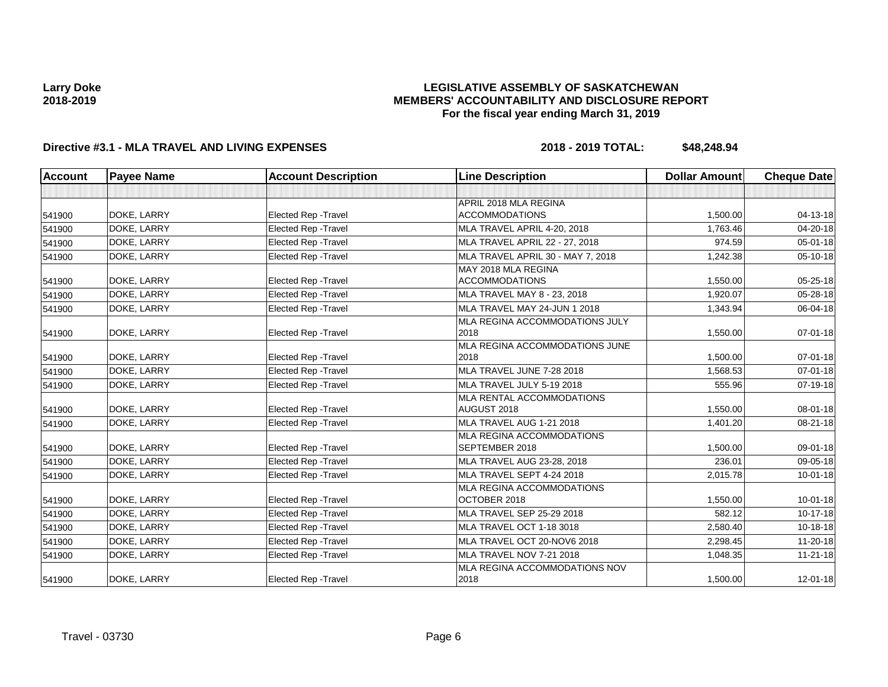## **LEGISLATIVE ASSEMBLY OF SASKATCHEWAN MEMBERS' ACCOUNTABILITY AND DISCLOSURE REPORT For the fiscal year ending March 31, 2019**

| <b>Account</b> | <b>Payee Name</b> | <b>Account Description</b>  | <b>Line Description</b>                        | <b>Dollar Amount</b> | <b>Cheque Date</b> |
|----------------|-------------------|-----------------------------|------------------------------------------------|----------------------|--------------------|
|                |                   |                             |                                                |                      |                    |
| 541900         | DOKE, LARRY       | <b>Elected Rep - Travel</b> | APRIL 2018 MLA REGINA<br><b>ACCOMMODATIONS</b> | 1,500.00             | $04 - 13 - 18$     |
| 541900         | DOKE, LARRY       | <b>Elected Rep - Travel</b> | MLA TRAVEL APRIL 4-20, 2018                    | 1,763.46             | 04-20-18           |
| 541900         | DOKE, LARRY       | <b>Elected Rep - Travel</b> | MLA TRAVEL APRIL 22 - 27, 2018                 | 974.59               | $05 - 01 - 18$     |
| 541900         | DOKE, LARRY       | <b>Elected Rep - Travel</b> | MLA TRAVEL APRIL 30 - MAY 7, 2018              | 1,242.38             | 05-10-18           |
| 541900         | DOKE, LARRY       | <b>Elected Rep - Travel</b> | MAY 2018 MLA REGINA<br><b>ACCOMMODATIONS</b>   | 1,550.00             | $05 - 25 - 18$     |
| 541900         | DOKE, LARRY       | Elected Rep - Travel        | MLA TRAVEL MAY 8 - 23, 2018                    | 1,920.07             | 05-28-18           |
| 541900         | DOKE, LARRY       | <b>Elected Rep - Travel</b> | MLA TRAVEL MAY 24-JUN 1 2018                   | 1,343.94             | 06-04-18           |
| 541900         | DOKE, LARRY       | <b>Elected Rep - Travel</b> | MLA REGINA ACCOMMODATIONS JULY<br>2018         | 1,550.00             | $07 - 01 - 18$     |
| 541900         | DOKE, LARRY       | <b>Elected Rep - Travel</b> | MLA REGINA ACCOMMODATIONS JUNE<br>2018         | 1,500.00             | $07 - 01 - 18$     |
| 541900         | DOKE, LARRY       | <b>Elected Rep - Travel</b> | MLA TRAVEL JUNE 7-28 2018                      | 1.568.53             | $07 - 01 - 18$     |
| 541900         | DOKE, LARRY       | <b>Elected Rep - Travel</b> | MLA TRAVEL JULY 5-19 2018                      | 555.96               | 07-19-18           |
| 541900         | DOKE, LARRY       | Elected Rep - Travel        | MLA RENTAL ACCOMMODATIONS<br>AUGUST 2018       | 1,550.00             | 08-01-18           |
| 541900         | DOKE, LARRY       | Elected Rep - Travel        | MLA TRAVEL AUG 1-21 2018                       | 1,401.20             | 08-21-18           |
| 541900         | DOKE, LARRY       | <b>Elected Rep - Travel</b> | MLA REGINA ACCOMMODATIONS<br>SEPTEMBER 2018    | 1,500.00             | 09-01-18           |
| 541900         | DOKE, LARRY       | <b>Elected Rep - Travel</b> | MLA TRAVEL AUG 23-28, 2018                     | 236.01               | 09-05-18           |
| 541900         | DOKE, LARRY       | <b>Elected Rep - Travel</b> | MLA TRAVEL SEPT 4-24 2018                      | 2,015.78             | 10-01-18           |
| 541900         | DOKE, LARRY       | <b>Elected Rep - Travel</b> | MLA REGINA ACCOMMODATIONS<br>OCTOBER 2018      | 1,550.00             | $10 - 01 - 18$     |
| 541900         | DOKE, LARRY       | Elected Rep - Travel        | <b>MLA TRAVEL SEP 25-29 2018</b>               | 582.12               | 10-17-18           |
| 541900         | DOKE, LARRY       | <b>Elected Rep - Travel</b> | MLA TRAVEL OCT 1-18 3018                       | 2,580.40             | 10-18-18           |
| 541900         | DOKE, LARRY       | <b>Elected Rep - Travel</b> | MLA TRAVEL OCT 20-NOV6 2018                    | 2,298.45             | 11-20-18           |
| 541900         | DOKE, LARRY       | Elected Rep - Travel        | MLA TRAVEL NOV 7-21 2018                       | 1,048.35             | $11 - 21 - 18$     |
| 541900         | DOKE, LARRY       | Elected Rep - Travel        | MLA REGINA ACCOMMODATIONS NOV<br>2018          | 1,500.00             | $12 - 01 - 18$     |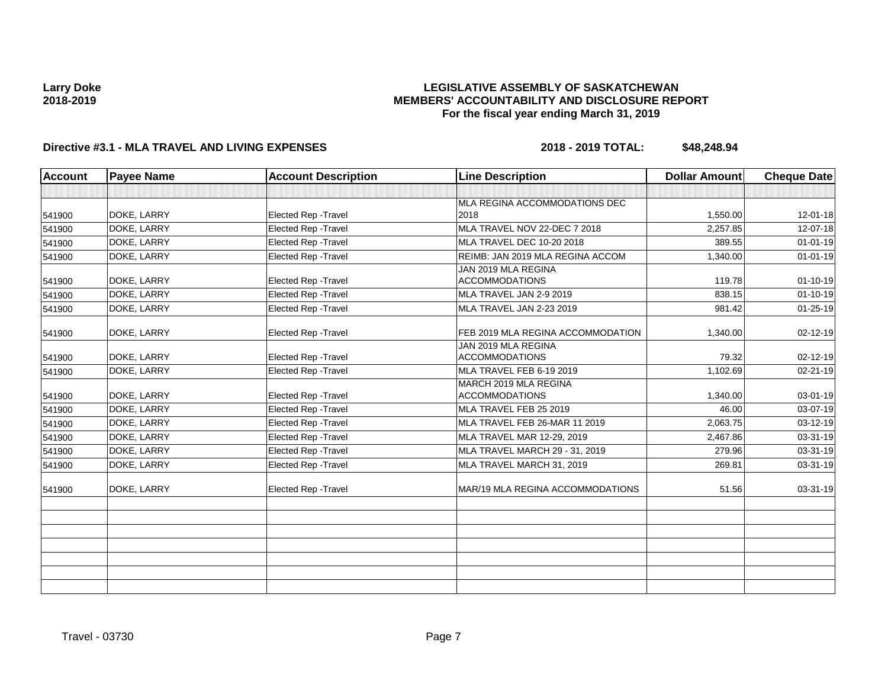## **LEGISLATIVE ASSEMBLY OF SASKATCHEWAN MEMBERS' ACCOUNTABILITY AND DISCLOSURE REPORT For the fiscal year ending March 31, 2019**

| <b>Account</b> | <b>Payee Name</b> | <b>Account Description</b>  | <b>Line Description</b>                        | <b>Dollar Amount</b> | <b>Cheque Date</b> |
|----------------|-------------------|-----------------------------|------------------------------------------------|----------------------|--------------------|
|                |                   |                             |                                                |                      |                    |
|                |                   |                             | MLA REGINA ACCOMMODATIONS DEC                  |                      |                    |
| 541900         | DOKE, LARRY       | <b>Elected Rep - Travel</b> | 2018                                           | 1,550.00             | $12 - 01 - 18$     |
| 541900         | DOKE, LARRY       | <b>Elected Rep - Travel</b> | MLA TRAVEL NOV 22-DEC 7 2018                   | 2,257.85             | 12-07-18           |
| 541900         | DOKE, LARRY       | Elected Rep - Travel        | MLA TRAVEL DEC 10-20 2018                      | 389.55               | $01 - 01 - 19$     |
| 541900         | DOKE, LARRY       | Elected Rep - Travel        | REIMB: JAN 2019 MLA REGINA ACCOM               | 1,340.00             | $01 - 01 - 19$     |
| 541900         | DOKE, LARRY       | <b>Elected Rep - Travel</b> | JAN 2019 MLA REGINA<br><b>ACCOMMODATIONS</b>   | 119.78               | $01 - 10 - 19$     |
| 541900         | DOKE, LARRY       | Elected Rep - Travel        | MLA TRAVEL JAN 2-9 2019                        | 838.15               | $01 - 10 - 19$     |
| 541900         | DOKE, LARRY       | Elected Rep - Travel        | MLA TRAVEL JAN 2-23 2019                       | 981.42               | 01-25-19           |
| 541900         | DOKE, LARRY       | Elected Rep - Travel        | FEB 2019 MLA REGINA ACCOMMODATION              | 1,340.00             | 02-12-19           |
| 541900         | DOKE, LARRY       | Elected Rep - Travel        | JAN 2019 MLA REGINA<br><b>ACCOMMODATIONS</b>   | 79.32                | 02-12-19           |
| 541900         | DOKE, LARRY       | <b>Elected Rep - Travel</b> | MLA TRAVEL FEB 6-19 2019                       | 1,102.69             | 02-21-19           |
| 541900         | DOKE, LARRY       | Elected Rep - Travel        | MARCH 2019 MLA REGINA<br><b>ACCOMMODATIONS</b> | 1,340.00             | 03-01-19           |
| 541900         | DOKE, LARRY       | Elected Rep - Travel        | MLA TRAVEL FEB 25 2019                         | 46.00                | 03-07-19           |
| 541900         | DOKE, LARRY       | Elected Rep - Travel        | MLA TRAVEL FEB 26-MAR 11 2019                  | 2,063.75             | 03-12-19           |
| 541900         | DOKE, LARRY       | Elected Rep - Travel        | MLA TRAVEL MAR 12-29, 2019                     | 2,467.86             | 03-31-19           |
| 541900         | DOKE, LARRY       | Elected Rep - Travel        | MLA TRAVEL MARCH 29 - 31, 2019                 | 279.96               | 03-31-19           |
| 541900         | DOKE, LARRY       | Elected Rep - Travel        | MLA TRAVEL MARCH 31, 2019                      | 269.81               | 03-31-19           |
| 541900         | DOKE, LARRY       | <b>Elected Rep - Travel</b> | MAR/19 MLA REGINA ACCOMMODATIONS               | 51.56                | 03-31-19           |
|                |                   |                             |                                                |                      |                    |
|                |                   |                             |                                                |                      |                    |
|                |                   |                             |                                                |                      |                    |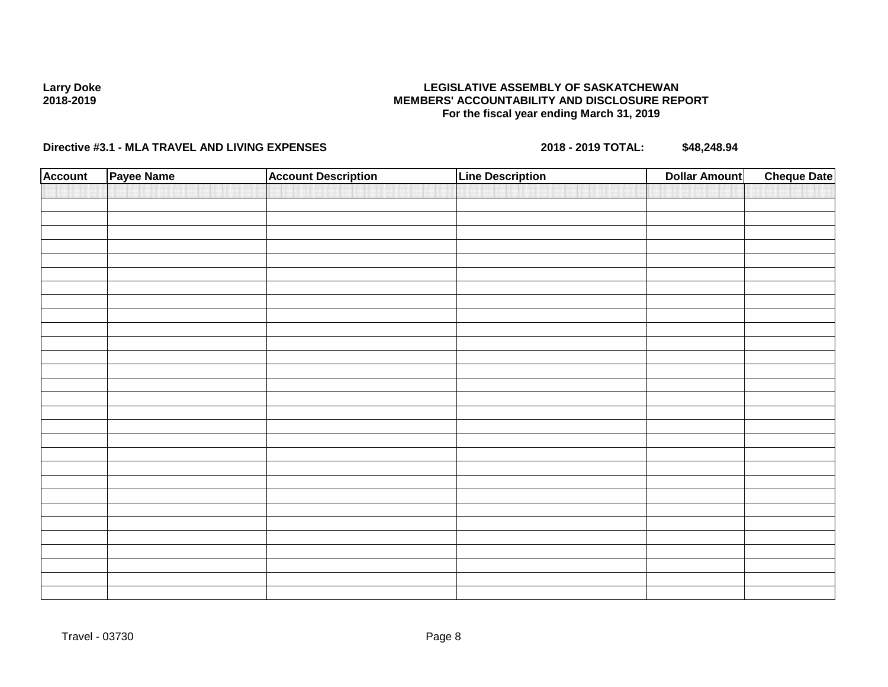### **LEGISLATIVE ASSEMBLY OF SASKATCHEWAN MEMBERS' ACCOUNTABILITY AND DISCLOSURE REPORT For the fiscal year ending March 31, 2019**

| <b>Account</b> | Payee Name | <b>Account Description</b> | <b>Line Description</b> | <b>Dollar Amount</b> | <b>Cheque Date</b> |
|----------------|------------|----------------------------|-------------------------|----------------------|--------------------|
|                |            |                            |                         |                      |                    |
|                |            |                            |                         |                      |                    |
|                |            |                            |                         |                      |                    |
|                |            |                            |                         |                      |                    |
|                |            |                            |                         |                      |                    |
|                |            |                            |                         |                      |                    |
|                |            |                            |                         |                      |                    |
|                |            |                            |                         |                      |                    |
|                |            |                            |                         |                      |                    |
|                |            |                            |                         |                      |                    |
|                |            |                            |                         |                      |                    |
|                |            |                            |                         |                      |                    |
|                |            |                            |                         |                      |                    |
|                |            |                            |                         |                      |                    |
|                |            |                            |                         |                      |                    |
|                |            |                            |                         |                      |                    |
|                |            |                            |                         |                      |                    |
|                |            |                            |                         |                      |                    |
|                |            |                            |                         |                      |                    |
|                |            |                            |                         |                      |                    |
|                |            |                            |                         |                      |                    |
|                |            |                            |                         |                      |                    |
|                |            |                            |                         |                      |                    |
|                |            |                            |                         |                      |                    |
|                |            |                            |                         |                      |                    |
|                |            |                            |                         |                      |                    |
|                |            |                            |                         |                      |                    |
|                |            |                            |                         |                      |                    |
|                |            |                            |                         |                      |                    |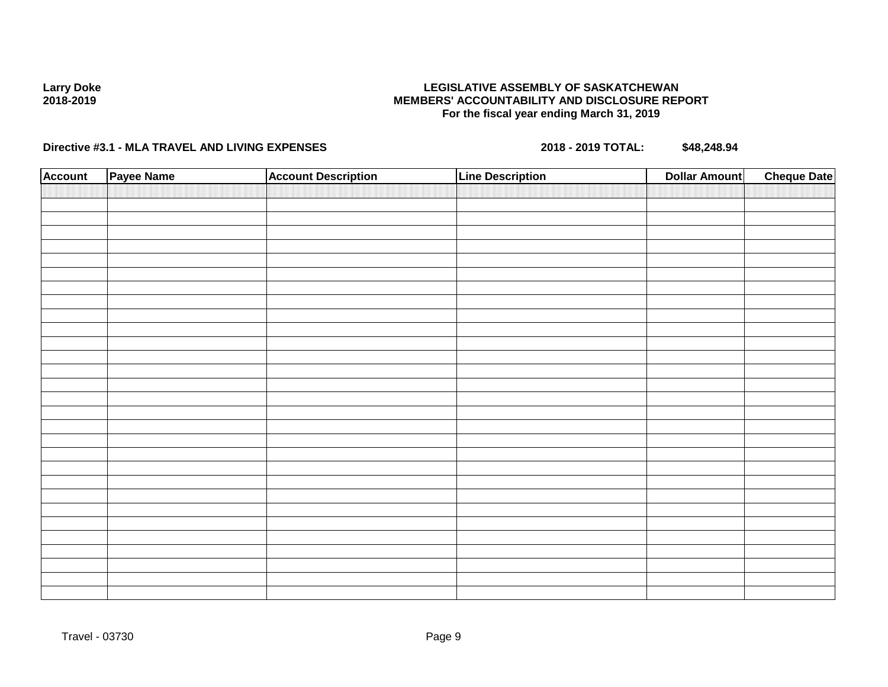### **LEGISLATIVE ASSEMBLY OF SASKATCHEWAN MEMBERS' ACCOUNTABILITY AND DISCLOSURE REPORT For the fiscal year ending March 31, 2019**

| <b>Account</b> | Payee Name | <b>Account Description</b> | <b>Line Description</b> | <b>Cheque Date</b><br><b>Dollar Amount</b> |  |
|----------------|------------|----------------------------|-------------------------|--------------------------------------------|--|
|                |            |                            |                         |                                            |  |
|                |            |                            |                         |                                            |  |
|                |            |                            |                         |                                            |  |
|                |            |                            |                         |                                            |  |
|                |            |                            |                         |                                            |  |
|                |            |                            |                         |                                            |  |
|                |            |                            |                         |                                            |  |
|                |            |                            |                         |                                            |  |
|                |            |                            |                         |                                            |  |
|                |            |                            |                         |                                            |  |
|                |            |                            |                         |                                            |  |
|                |            |                            |                         |                                            |  |
|                |            |                            |                         |                                            |  |
|                |            |                            |                         |                                            |  |
|                |            |                            |                         |                                            |  |
|                |            |                            |                         |                                            |  |
|                |            |                            |                         |                                            |  |
|                |            |                            |                         |                                            |  |
|                |            |                            |                         |                                            |  |
|                |            |                            |                         |                                            |  |
|                |            |                            |                         |                                            |  |
|                |            |                            |                         |                                            |  |
|                |            |                            |                         |                                            |  |
|                |            |                            |                         |                                            |  |
|                |            |                            |                         |                                            |  |
|                |            |                            |                         |                                            |  |
|                |            |                            |                         |                                            |  |
|                |            |                            |                         |                                            |  |
|                |            |                            |                         |                                            |  |
|                |            |                            |                         |                                            |  |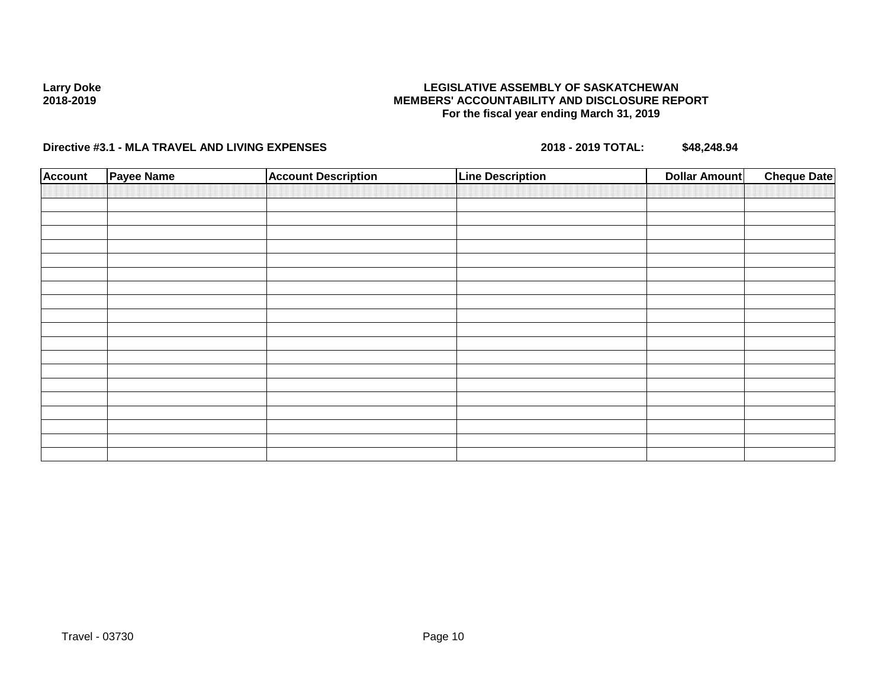### **LEGISLATIVE ASSEMBLY OF SASKATCHEWAN MEMBERS' ACCOUNTABILITY AND DISCLOSURE REPORT For the fiscal year ending March 31, 2019**

| <b>Account</b> | Payee Name | <b>Account Description</b> | <b>Line Description</b> | <b>Dollar Amount</b> | <b>Cheque Date</b> |
|----------------|------------|----------------------------|-------------------------|----------------------|--------------------|
|                |            |                            |                         |                      |                    |
|                |            |                            |                         |                      |                    |
|                |            |                            |                         |                      |                    |
|                |            |                            |                         |                      |                    |
|                |            |                            |                         |                      |                    |
|                |            |                            |                         |                      |                    |
|                |            |                            |                         |                      |                    |
|                |            |                            |                         |                      |                    |
|                |            |                            |                         |                      |                    |
|                |            |                            |                         |                      |                    |
|                |            |                            |                         |                      |                    |
|                |            |                            |                         |                      |                    |
|                |            |                            |                         |                      |                    |
|                |            |                            |                         |                      |                    |
|                |            |                            |                         |                      |                    |
|                |            |                            |                         |                      |                    |
|                |            |                            |                         |                      |                    |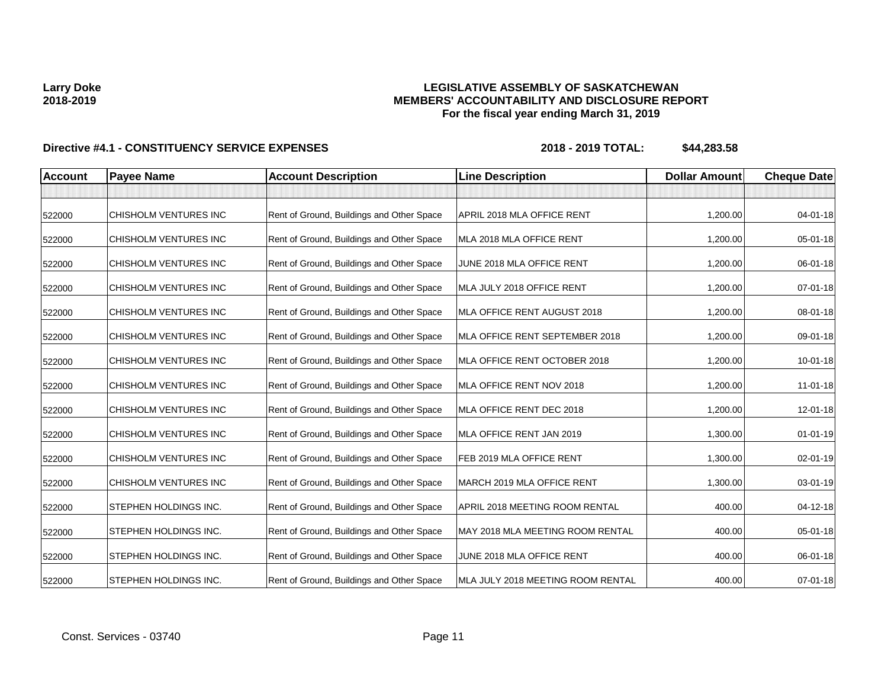## **LEGISLATIVE ASSEMBLY OF SASKATCHEWAN MEMBERS' ACCOUNTABILITY AND DISCLOSURE REPORT For the fiscal year ending March 31, 2019**

| <b>Account</b> | <b>Payee Name</b>            | <b>Account Description</b>                | <b>Line Description</b>           | <b>Dollar Amount</b> | <b>Cheque Date</b> |
|----------------|------------------------------|-------------------------------------------|-----------------------------------|----------------------|--------------------|
|                |                              |                                           |                                   |                      |                    |
| 522000         | CHISHOLM VENTURES INC        | Rent of Ground, Buildings and Other Space | APRIL 2018 MLA OFFICE RENT        | 1,200.00             | 04-01-18           |
| 522000         | CHISHOLM VENTURES INC        | Rent of Ground, Buildings and Other Space | MLA 2018 MLA OFFICE RENT          | 1,200.00             | 05-01-18           |
| 522000         | CHISHOLM VENTURES INC        | Rent of Ground, Buildings and Other Space | JUNE 2018 MLA OFFICE RENT         | 1,200.00             | 06-01-18           |
| 522000         | CHISHOLM VENTURES INC        | Rent of Ground, Buildings and Other Space | MLA JULY 2018 OFFICE RENT         | 1,200.00             | 07-01-18           |
| 522000         | CHISHOLM VENTURES INC        | Rent of Ground, Buildings and Other Space | MLA OFFICE RENT AUGUST 2018       | 1,200.00             | 08-01-18           |
| 522000         | CHISHOLM VENTURES INC        | Rent of Ground, Buildings and Other Space | MLA OFFICE RENT SEPTEMBER 2018    | 1,200.00             | 09-01-18           |
| 522000         | CHISHOLM VENTURES INC        | Rent of Ground, Buildings and Other Space | MLA OFFICE RENT OCTOBER 2018      | 1,200.00             | 10-01-18           |
| 522000         | CHISHOLM VENTURES INC        | Rent of Ground, Buildings and Other Space | MLA OFFICE RENT NOV 2018          | 1,200.00             | $11-01-18$         |
| 522000         | CHISHOLM VENTURES INC        | Rent of Ground, Buildings and Other Space | MLA OFFICE RENT DEC 2018          | 1,200.00             | 12-01-18           |
| 522000         | CHISHOLM VENTURES INC        | Rent of Ground, Buildings and Other Space | MLA OFFICE RENT JAN 2019          | 1,300.00             | $01 - 01 - 19$     |
| 522000         | CHISHOLM VENTURES INC        | Rent of Ground, Buildings and Other Space | FEB 2019 MLA OFFICE RENT          | 1,300.00             | 02-01-19           |
| 522000         | CHISHOLM VENTURES INC        | Rent of Ground, Buildings and Other Space | MARCH 2019 MLA OFFICE RENT        | 1,300.00             | 03-01-19           |
| 522000         | STEPHEN HOLDINGS INC.        | Rent of Ground, Buildings and Other Space | APRIL 2018 MEETING ROOM RENTAL    | 400.00               | 04-12-18           |
| 522000         | <b>STEPHEN HOLDINGS INC.</b> | Rent of Ground, Buildings and Other Space | MAY 2018 MLA MEETING ROOM RENTAL  | 400.00               | 05-01-18           |
| 522000         | STEPHEN HOLDINGS INC.        | Rent of Ground, Buildings and Other Space | JUNE 2018 MLA OFFICE RENT         | 400.00               | 06-01-18           |
| 522000         | <b>STEPHEN HOLDINGS INC.</b> | Rent of Ground, Buildings and Other Space | MLA JULY 2018 MEETING ROOM RENTAL | 400.00               | $07 - 01 - 18$     |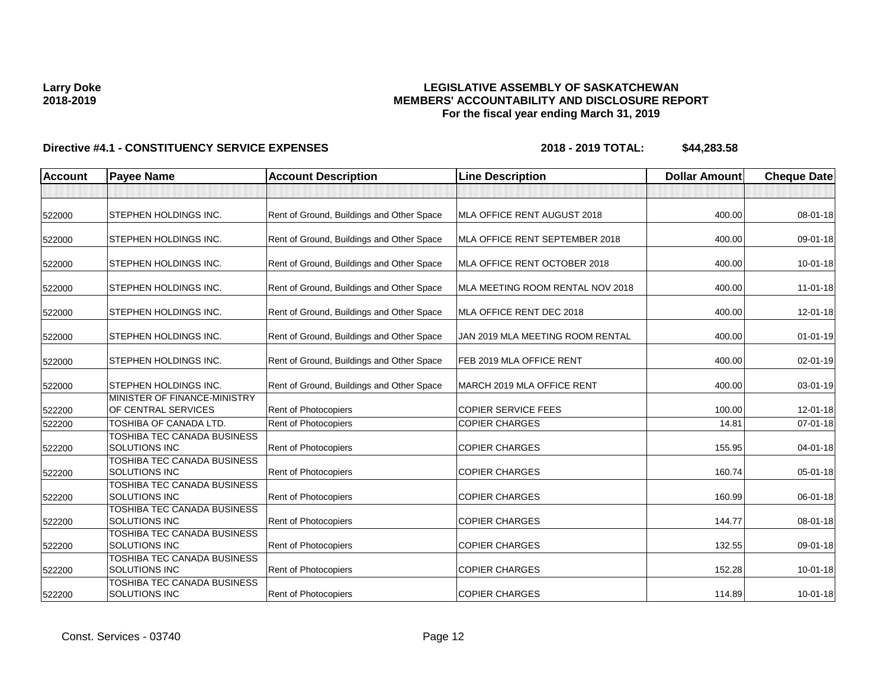## **LEGISLATIVE ASSEMBLY OF SASKATCHEWAN MEMBERS' ACCOUNTABILITY AND DISCLOSURE REPORT For the fiscal year ending March 31, 2019**

| <b>Account</b> | <b>Payee Name</b>                                   | <b>Account Description</b>                | <b>Line Description</b>          | <b>Dollar Amount</b> | <b>Cheque Date</b> |
|----------------|-----------------------------------------------------|-------------------------------------------|----------------------------------|----------------------|--------------------|
|                |                                                     |                                           |                                  |                      |                    |
| 522000         | <b>STEPHEN HOLDINGS INC.</b>                        | Rent of Ground, Buildings and Other Space | MLA OFFICE RENT AUGUST 2018      | 400.00               | 08-01-18           |
| 522000         | <b>ISTEPHEN HOLDINGS INC.</b>                       | Rent of Ground, Buildings and Other Space | MLA OFFICE RENT SEPTEMBER 2018   | 400.00               | 09-01-18           |
| 522000         | <b>STEPHEN HOLDINGS INC.</b>                        | Rent of Ground, Buildings and Other Space | MLA OFFICE RENT OCTOBER 2018     | 400.00               | $10 - 01 - 18$     |
| 522000         | <b>STEPHEN HOLDINGS INC.</b>                        | Rent of Ground, Buildings and Other Space | MLA MEETING ROOM RENTAL NOV 2018 | 400.00               | $11 - 01 - 18$     |
| 522000         | <b>STEPHEN HOLDINGS INC.</b>                        | Rent of Ground, Buildings and Other Space | MLA OFFICE RENT DEC 2018         | 400.00               | $12 - 01 - 18$     |
| 522000         | <b>STEPHEN HOLDINGS INC.</b>                        | Rent of Ground, Buildings and Other Space | JAN 2019 MLA MEETING ROOM RENTAL | 400.00               | $01 - 01 - 19$     |
| 522000         | <b>STEPHEN HOLDINGS INC.</b>                        | Rent of Ground, Buildings and Other Space | FEB 2019 MLA OFFICE RENT         | 400.00               | 02-01-19           |
| 522000         | <b>ISTEPHEN HOLDINGS INC.</b>                       | Rent of Ground, Buildings and Other Space | MARCH 2019 MLA OFFICE RENT       | 400.00               | 03-01-19           |
| 522200         | MINISTER OF FINANCE-MINISTRY<br>OF CENTRAL SERVICES | Rent of Photocopiers                      | <b>COPIER SERVICE FEES</b>       | 100.00               | $12 - 01 - 18$     |
| 522200         | TOSHIBA OF CANADA LTD.                              | Rent of Photocopiers                      | <b>COPIER CHARGES</b>            | 14.81                | $07 - 01 - 18$     |
| 522200         | TOSHIBA TEC CANADA BUSINESS<br><b>SOLUTIONS INC</b> | Rent of Photocopiers                      | <b>COPIER CHARGES</b>            | 155.95               | $04 - 01 - 18$     |
| 522200         | TOSHIBA TEC CANADA BUSINESS<br><b>SOLUTIONS INC</b> | Rent of Photocopiers                      | <b>COPIER CHARGES</b>            | 160.74               | 05-01-18           |
| 522200         | TOSHIBA TEC CANADA BUSINESS<br><b>SOLUTIONS INC</b> | Rent of Photocopiers                      | <b>COPIER CHARGES</b>            | 160.99               | 06-01-18           |
| 522200         | TOSHIBA TEC CANADA BUSINESS<br><b>SOLUTIONS INC</b> | Rent of Photocopiers                      | <b>COPIER CHARGES</b>            | 144.77               | 08-01-18           |
| 522200         | TOSHIBA TEC CANADA BUSINESS<br><b>SOLUTIONS INC</b> | Rent of Photocopiers                      | <b>COPIER CHARGES</b>            | 132.55               | 09-01-18           |
| 522200         | TOSHIBA TEC CANADA BUSINESS<br><b>SOLUTIONS INC</b> | <b>Rent of Photocopiers</b>               | <b>COPIER CHARGES</b>            | 152.28               | 10-01-18           |
| 522200         | TOSHIBA TEC CANADA BUSINESS<br><b>SOLUTIONS INC</b> | <b>Rent of Photocopiers</b>               | <b>COPIER CHARGES</b>            | 114.89               | $10 - 01 - 18$     |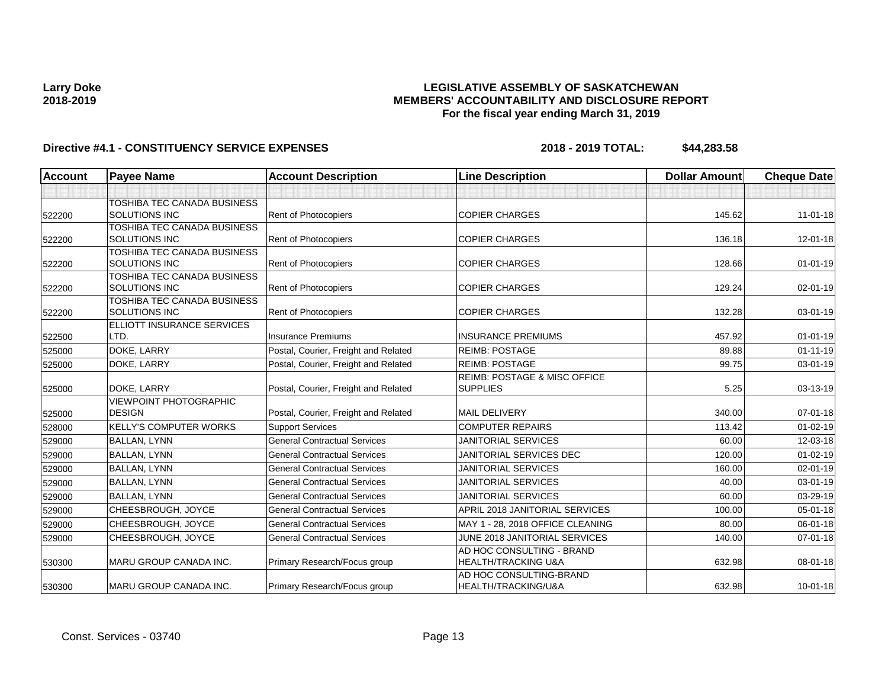## **LEGISLATIVE ASSEMBLY OF SASKATCHEWAN MEMBERS' ACCOUNTABILITY AND DISCLOSURE REPORT For the fiscal year ending March 31, 2019**

| <b>Account</b> | <b>Payee Name</b>                  | <b>Account Description</b>           | <b>Line Description</b>          | <b>Dollar Amount</b> | <b>Cheque Date</b> |
|----------------|------------------------------------|--------------------------------------|----------------------------------|----------------------|--------------------|
|                |                                    |                                      |                                  |                      |                    |
|                | TOSHIBA TEC CANADA BUSINESS        |                                      |                                  |                      |                    |
| 522200         | <b>SOLUTIONS INC</b>               | Rent of Photocopiers                 | <b>COPIER CHARGES</b>            | 145.62               | $11 - 01 - 18$     |
|                | TOSHIBA TEC CANADA BUSINESS        |                                      |                                  |                      |                    |
| 522200         | <b>SOLUTIONS INC</b>               | Rent of Photocopiers                 | <b>COPIER CHARGES</b>            | 136.18               | 12-01-18           |
|                | TOSHIBA TEC CANADA BUSINESS        |                                      |                                  |                      |                    |
| 522200         | <b>SOLUTIONS INC</b>               | <b>Rent of Photocopiers</b>          | <b>COPIER CHARGES</b>            | 128.66               | $01 - 01 - 19$     |
|                | TOSHIBA TEC CANADA BUSINESS        |                                      |                                  |                      |                    |
| 522200         | <b>SOLUTIONS INC</b>               | Rent of Photocopiers                 | <b>COPIER CHARGES</b>            | 129.24               | 02-01-19           |
|                | <b>TOSHIBA TEC CANADA BUSINESS</b> |                                      |                                  |                      |                    |
| 522200         | <b>SOLUTIONS INC</b>               | <b>Rent of Photocopiers</b>          | <b>COPIER CHARGES</b>            | 132.28               | $03 - 01 - 19$     |
| 522500         | ELLIOTT INSURANCE SERVICES<br>LTD. | <b>Insurance Premiums</b>            | <b>INSURANCE PREMIUMS</b>        | 457.92               | $01 - 01 - 19$     |
| 525000         | DOKE, LARRY                        | Postal, Courier, Freight and Related | <b>REIMB: POSTAGE</b>            | 89.88                | $01 - 11 - 19$     |
| 525000         | DOKE, LARRY                        | Postal, Courier, Freight and Related | <b>REIMB: POSTAGE</b>            | 99.75                | 03-01-19           |
|                |                                    |                                      | REIMB: POSTAGE & MISC OFFICE     |                      |                    |
| 525000         | DOKE, LARRY                        | Postal, Courier, Freight and Related | <b>SUPPLIES</b>                  | 5.25                 | 03-13-19           |
|                | <b>VIEWPOINT PHOTOGRAPHIC</b>      |                                      |                                  |                      |                    |
| 525000         | <b>DESIGN</b>                      | Postal, Courier, Freight and Related | <b>MAIL DELIVERY</b>             | 340.00               | $07 - 01 - 18$     |
| 528000         | <b>KELLY'S COMPUTER WORKS</b>      | <b>Support Services</b>              | <b>COMPUTER REPAIRS</b>          | 113.42               | $01 - 02 - 19$     |
| 529000         | BALLAN, LYNN                       | <b>General Contractual Services</b>  | <b>JANITORIAL SERVICES</b>       | 60.00                | 12-03-18           |
| 529000         | <b>BALLAN, LYNN</b>                | <b>General Contractual Services</b>  | JANITORIAL SERVICES DEC          | 120.00               | $01 - 02 - 19$     |
| 529000         | <b>BALLAN, LYNN</b>                | <b>General Contractual Services</b>  | <b>JANITORIAL SERVICES</b>       | 160.00               | 02-01-19           |
| 529000         | <b>BALLAN, LYNN</b>                | <b>General Contractual Services</b>  | <b>JANITORIAL SERVICES</b>       | 40.00                | 03-01-19           |
| 529000         | <b>BALLAN, LYNN</b>                | <b>General Contractual Services</b>  | <b>JANITORIAL SERVICES</b>       | 60.00                | 03-29-19           |
| 529000         | CHEESBROUGH, JOYCE                 | <b>General Contractual Services</b>  | APRIL 2018 JANITORIAL SERVICES   | 100.00               | 05-01-18           |
| 529000         | CHEESBROUGH, JOYCE                 | <b>General Contractual Services</b>  | MAY 1 - 28, 2018 OFFICE CLEANING | 80.00                | $06 - 01 - 18$     |
| 529000         | CHEESBROUGH, JOYCE                 | <b>General Contractual Services</b>  | JUNE 2018 JANITORIAL SERVICES    | 140.00               | $07 - 01 - 18$     |
|                |                                    |                                      | AD HOC CONSULTING - BRAND        |                      |                    |
| 530300         | <b>MARU GROUP CANADA INC.</b>      | Primary Research/Focus group         | <b>HEALTH/TRACKING U&amp;A</b>   | 632.98               | 08-01-18           |
|                |                                    |                                      | AD HOC CONSULTING-BRAND          |                      |                    |
| 530300         | <b>IMARU GROUP CANADA INC.</b>     | Primary Research/Focus group         | HEALTH/TRACKING/U&A              | 632.98               | $10 - 01 - 18$     |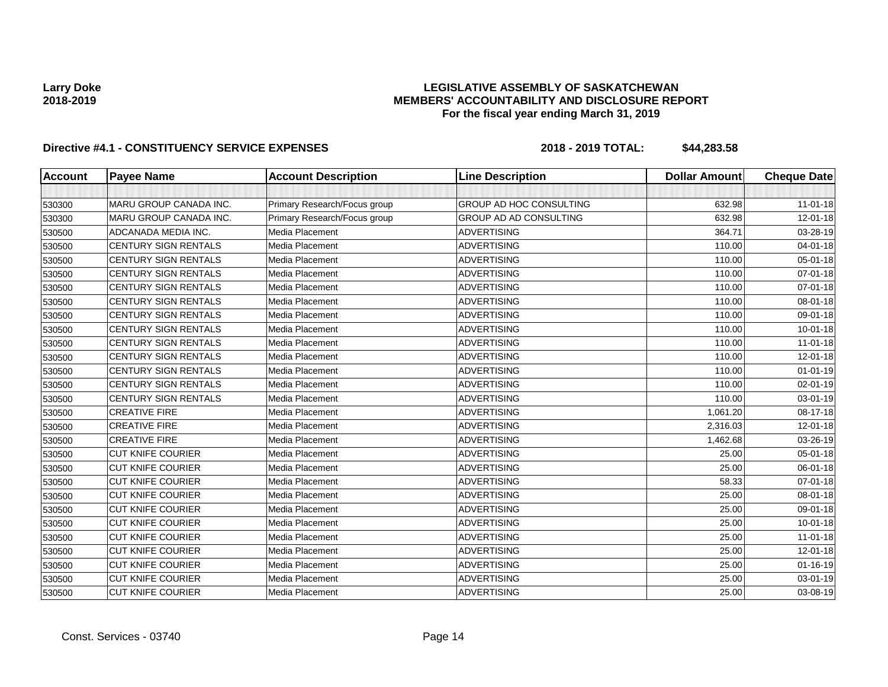## **LEGISLATIVE ASSEMBLY OF SASKATCHEWAN MEMBERS' ACCOUNTABILITY AND DISCLOSURE REPORT For the fiscal year ending March 31, 2019**

| <b>Account</b> | <b>Payee Name</b>             | <b>Account Description</b>   | <b>Line Description</b>        | <b>Dollar Amount</b> | <b>Cheque Date</b> |
|----------------|-------------------------------|------------------------------|--------------------------------|----------------------|--------------------|
|                |                               |                              |                                |                      |                    |
| 530300         | <b>MARU GROUP CANADA INC.</b> | Primary Research/Focus group | <b>GROUP AD HOC CONSULTING</b> | 632.98               | $11-01-18$         |
| 530300         | MARU GROUP CANADA INC.        | Primary Research/Focus group | <b>GROUP AD AD CONSULTING</b>  | 632.98               | $12 - 01 - 18$     |
| 530500         | ADCANADA MEDIA INC.           | Media Placement              | <b>ADVERTISING</b>             | 364.71               | 03-28-19           |
| 530500         | <b>CENTURY SIGN RENTALS</b>   | Media Placement              | <b>ADVERTISING</b>             | 110.00               | 04-01-18           |
| 530500         | <b>CENTURY SIGN RENTALS</b>   | Media Placement              | <b>ADVERTISING</b>             | 110.00               | 05-01-18           |
| 530500         | <b>CENTURY SIGN RENTALS</b>   | Media Placement              | <b>ADVERTISING</b>             | 110.00               | 07-01-18           |
| 530500         | <b>CENTURY SIGN RENTALS</b>   | Media Placement              | <b>ADVERTISING</b>             | 110.00               | 07-01-18           |
| 530500         | <b>CENTURY SIGN RENTALS</b>   | Media Placement              | <b>ADVERTISING</b>             | 110.00               | 08-01-18           |
| 530500         | <b>CENTURY SIGN RENTALS</b>   | Media Placement              | <b>ADVERTISING</b>             | 110.00               | 09-01-18           |
| 530500         | CENTURY SIGN RENTALS          | Media Placement              | <b>ADVERTISING</b>             | 110.00               | $10 - 01 - 18$     |
| 530500         | <b>CENTURY SIGN RENTALS</b>   | Media Placement              | <b>ADVERTISING</b>             | 110.00               | $11-01-18$         |
| 530500         | <b>CENTURY SIGN RENTALS</b>   | Media Placement              | <b>ADVERTISING</b>             | 110.00               | 12-01-18           |
| 530500         | <b>CENTURY SIGN RENTALS</b>   | Media Placement              | <b>ADVERTISING</b>             | 110.00               | $01 - 01 - 19$     |
| 530500         | <b>CENTURY SIGN RENTALS</b>   | Media Placement              | <b>ADVERTISING</b>             | 110.00               | 02-01-19           |
| 530500         | <b>CENTURY SIGN RENTALS</b>   | Media Placement              | <b>ADVERTISING</b>             | 110.00               | 03-01-19           |
| 530500         | <b>CREATIVE FIRE</b>          | Media Placement              | <b>ADVERTISING</b>             | 1,061.20             | 08-17-18           |
| 530500         | <b>CREATIVE FIRE</b>          | Media Placement              | <b>ADVERTISING</b>             | 2,316.03             | 12-01-18           |
| 530500         | <b>CREATIVE FIRE</b>          | Media Placement              | <b>ADVERTISING</b>             | 1,462.68             | 03-26-19           |
| 530500         | <b>CUT KNIFE COURIER</b>      | Media Placement              | <b>ADVERTISING</b>             | 25.00                | 05-01-18           |
| 530500         | <b>CUT KNIFE COURIER</b>      | Media Placement              | <b>ADVERTISING</b>             | 25.00                | 06-01-18           |
| 530500         | <b>CUT KNIFE COURIER</b>      | Media Placement              | <b>ADVERTISING</b>             | 58.33                | $07 - 01 - 18$     |
| 530500         | <b>CUT KNIFE COURIER</b>      | Media Placement              | <b>ADVERTISING</b>             | 25.00                | 08-01-18           |
| 530500         | <b>CUT KNIFE COURIER</b>      | Media Placement              | <b>ADVERTISING</b>             | 25.00                | 09-01-18           |
| 530500         | <b>CUT KNIFE COURIER</b>      | Media Placement              | <b>ADVERTISING</b>             | 25.00                | $10 - 01 - 18$     |
| 530500         | <b>CUT KNIFE COURIER</b>      | Media Placement              | <b>ADVERTISING</b>             | 25.00                | $11-01-18$         |
| 530500         | <b>CUT KNIFE COURIER</b>      | Media Placement              | <b>ADVERTISING</b>             | 25.00                | 12-01-18           |
| 530500         | <b>CUT KNIFE COURIER</b>      | Media Placement              | <b>ADVERTISING</b>             | 25.00                | $01 - 16 - 19$     |
| 530500         | <b>CUT KNIFE COURIER</b>      | Media Placement              | <b>ADVERTISING</b>             | 25.00                | 03-01-19           |
| 530500         | <b>CUT KNIFE COURIER</b>      | Media Placement              | <b>ADVERTISING</b>             | 25.00                | 03-08-19           |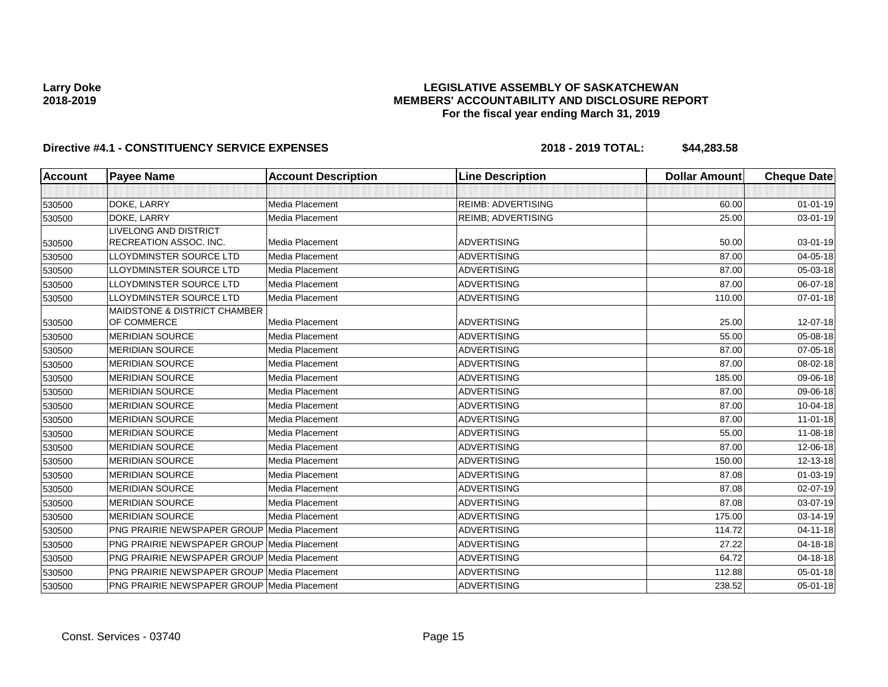## **LEGISLATIVE ASSEMBLY OF SASKATCHEWAN MEMBERS' ACCOUNTABILITY AND DISCLOSURE REPORT For the fiscal year ending March 31, 2019**

| <b>Account</b> | <b>Payee Name</b>                                  | <b>Account Description</b> | <b>Line Description</b>   | <b>Dollar Amount</b> | <b>Cheque Date</b> |
|----------------|----------------------------------------------------|----------------------------|---------------------------|----------------------|--------------------|
|                |                                                    |                            |                           |                      |                    |
| 530500         | DOKE, LARRY                                        | Media Placement            | <b>REIMB: ADVERTISING</b> | 60.00                | $01 - 01 - 19$     |
| 530500         | DOKE, LARRY                                        | Media Placement            | <b>REIMB: ADVERTISING</b> | 25.00                | 03-01-19           |
|                | <b>LIVELONG AND DISTRICT</b>                       |                            |                           |                      |                    |
| 530500         | RECREATION ASSOC. INC.                             | Media Placement            | <b>ADVERTISING</b>        | 50.00                | 03-01-19           |
| 530500         | LLOYDMINSTER SOURCE LTD                            | Media Placement            | <b>ADVERTISING</b>        | 87.00                | 04-05-18           |
| 530500         | LLOYDMINSTER SOURCE LTD                            | Media Placement            | <b>ADVERTISING</b>        | 87.00                | 05-03-18           |
| 530500         | LLOYDMINSTER SOURCE LTD                            | Media Placement            | <b>ADVERTISING</b>        | 87.00                | 06-07-18           |
| 530500         | LLOYDMINSTER SOURCE LTD                            | Media Placement            | <b>ADVERTISING</b>        | 110.00               | $07 - 01 - 18$     |
|                | <b>MAIDSTONE &amp; DISTRICT CHAMBER</b>            |                            |                           |                      |                    |
| 530500         | OF COMMERCE                                        | Media Placement            | <b>ADVERTISING</b>        | 25.00                | 12-07-18           |
| 530500         | <b>MERIDIAN SOURCE</b>                             | Media Placement            | <b>ADVERTISING</b>        | 55.00                | 05-08-18           |
| 530500         | <b>MERIDIAN SOURCE</b>                             | Media Placement            | <b>ADVERTISING</b>        | 87.00                | 07-05-18           |
| 530500         | <b>MERIDIAN SOURCE</b>                             | Media Placement            | <b>ADVERTISING</b>        | 87.00                | 08-02-18           |
| 530500         | <b>MERIDIAN SOURCE</b>                             | Media Placement            | <b>ADVERTISING</b>        | 185.00               | 09-06-18           |
| 530500         | <b>MERIDIAN SOURCE</b>                             | Media Placement            | <b>ADVERTISING</b>        | 87.00                | 09-06-18           |
| 530500         | <b>MERIDIAN SOURCE</b>                             | Media Placement            | <b>ADVERTISING</b>        | 87.00                | 10-04-18           |
| 530500         | <b>MERIDIAN SOURCE</b>                             | Media Placement            | <b>ADVERTISING</b>        | 87.00                | $11-01-18$         |
| 530500         | <b>MERIDIAN SOURCE</b>                             | Media Placement            | <b>ADVERTISING</b>        | 55.00                | 11-08-18           |
| 530500         | <b>MERIDIAN SOURCE</b>                             | Media Placement            | <b>ADVERTISING</b>        | 87.00                | 12-06-18           |
| 530500         | <b>MERIDIAN SOURCE</b>                             | Media Placement            | <b>ADVERTISING</b>        | 150.00               | 12-13-18           |
| 530500         | <b>MERIDIAN SOURCE</b>                             | Media Placement            | <b>ADVERTISING</b>        | 87.08                | $01 - 03 - 19$     |
| 530500         | <b>MERIDIAN SOURCE</b>                             | Media Placement            | <b>ADVERTISING</b>        | 87.08                | 02-07-19           |
| 530500         | <b>MERIDIAN SOURCE</b>                             | Media Placement            | <b>ADVERTISING</b>        | 87.08                | 03-07-19           |
| 530500         | <b>MERIDIAN SOURCE</b>                             | Media Placement            | <b>ADVERTISING</b>        | 175.00               | 03-14-19           |
| 530500         | <b>PNG PRAIRIE NEWSPAPER GROUP Media Placement</b> |                            | <b>ADVERTISING</b>        | 114.72               | $04 - 11 - 18$     |
| 530500         | <b>PNG PRAIRIE NEWSPAPER GROUP Media Placement</b> |                            | <b>ADVERTISING</b>        | 27.22                | 04-18-18           |
| 530500         | <b>PNG PRAIRIE NEWSPAPER GROUP Media Placement</b> |                            | ADVERTISING               | 64.72                | 04-18-18           |
| 530500         | <b>PNG PRAIRIE NEWSPAPER GROUP Media Placement</b> |                            | <b>ADVERTISING</b>        | 112.88               | 05-01-18           |
| 530500         | PNG PRAIRIE NEWSPAPER GROUP Media Placement        |                            | <b>ADVERTISING</b>        | 238.52               | 05-01-18           |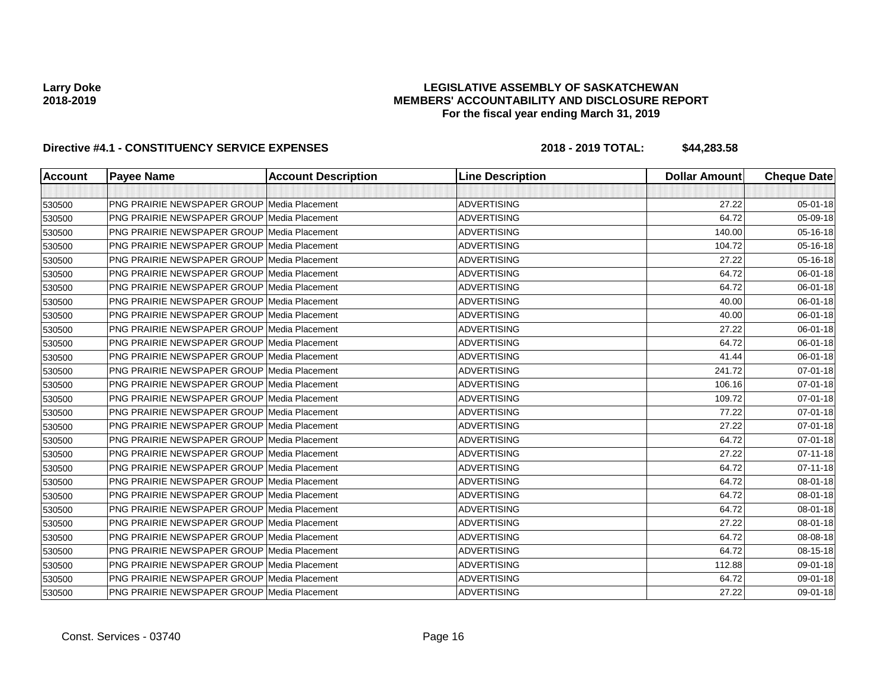### **LEGISLATIVE ASSEMBLY OF SASKATCHEWAN MEMBERS' ACCOUNTABILITY AND DISCLOSURE REPORT For the fiscal year ending March 31, 2019**

| <b>Account</b> | <b>Payee Name</b>                                  | <b>Account Description</b> | <b>Line Description</b> | <b>Dollar Amount</b> | <b>Cheque Date</b> |
|----------------|----------------------------------------------------|----------------------------|-------------------------|----------------------|--------------------|
|                |                                                    |                            |                         |                      |                    |
| 530500         | <b>PNG PRAIRIE NEWSPAPER GROUP Media Placement</b> |                            | <b>ADVERTISING</b>      | 27.22                | 05-01-18           |
| 530500         | <b>PNG PRAIRIE NEWSPAPER GROUP Media Placement</b> |                            | <b>ADVERTISING</b>      | 64.72                | 05-09-18           |
| 530500         | PNG PRAIRIE NEWSPAPER GROUP Media Placement        |                            | <b>ADVERTISING</b>      | 140.00               | 05-16-18           |
| 530500         | <b>PNG PRAIRIE NEWSPAPER GROUP Media Placement</b> |                            | <b>ADVERTISING</b>      | 104.72               | 05-16-18           |
| 530500         | <b>PNG PRAIRIE NEWSPAPER GROUP Media Placement</b> |                            | <b>ADVERTISING</b>      | 27.22                | 05-16-18           |
| 530500         | PNG PRAIRIE NEWSPAPER GROUP Media Placement        |                            | <b>ADVERTISING</b>      | 64.72                | 06-01-18           |
| 530500         | <b>PNG PRAIRIE NEWSPAPER GROUP Media Placement</b> |                            | <b>ADVERTISING</b>      | 64.72                | 06-01-18           |
| 530500         | <b>PNG PRAIRIE NEWSPAPER GROUP Media Placement</b> |                            | <b>ADVERTISING</b>      | 40.00                | 06-01-18           |
| 530500         | <b>PNG PRAIRIE NEWSPAPER GROUP Media Placement</b> |                            | <b>ADVERTISING</b>      | 40.00                | 06-01-18           |
| 530500         | <b>PNG PRAIRIE NEWSPAPER GROUP Media Placement</b> |                            | <b>ADVERTISING</b>      | 27.22                | 06-01-18           |
| 530500         | <b>PNG PRAIRIE NEWSPAPER GROUP Media Placement</b> |                            | <b>ADVERTISING</b>      | 64.72                | 06-01-18           |
| 530500         | <b>PNG PRAIRIE NEWSPAPER GROUP Media Placement</b> |                            | <b>ADVERTISING</b>      | 41.44                | 06-01-18           |
| 530500         | <b>PNG PRAIRIE NEWSPAPER GROUP Media Placement</b> |                            | <b>ADVERTISING</b>      | 241.72               | 07-01-18           |
| 530500         | <b>PNG PRAIRIE NEWSPAPER GROUP Media Placement</b> |                            | <b>ADVERTISING</b>      | 106.16               | 07-01-18           |
| 530500         | <b>PNG PRAIRIE NEWSPAPER GROUP Media Placement</b> |                            | <b>ADVERTISING</b>      | 109.72               | 07-01-18           |
| 530500         | <b>PNG PRAIRIE NEWSPAPER GROUP Media Placement</b> |                            | <b>ADVERTISING</b>      | 77.22                | 07-01-18           |
| 530500         | <b>PNG PRAIRIE NEWSPAPER GROUP Media Placement</b> |                            | <b>ADVERTISING</b>      | 27.22                | 07-01-18           |
| 530500         | <b>PNG PRAIRIE NEWSPAPER GROUP Media Placement</b> |                            | <b>ADVERTISING</b>      | 64.72                | 07-01-18           |
| 530500         | PNG PRAIRIE NEWSPAPER GROUP Media Placement        |                            | <b>ADVERTISING</b>      | 27.22                | $07 - 11 - 18$     |
| 530500         | <b>PNG PRAIRIE NEWSPAPER GROUP Media Placement</b> |                            | <b>ADVERTISING</b>      | 64.72                | $07 - 11 - 18$     |
| 530500         | <b>PNG PRAIRIE NEWSPAPER GROUP Media Placement</b> |                            | <b>ADVERTISING</b>      | 64.72                | 08-01-18           |
| 530500         | <b>PNG PRAIRIE NEWSPAPER GROUP Media Placement</b> |                            | <b>ADVERTISING</b>      | 64.72                | 08-01-18           |
| 530500         | <b>PNG PRAIRIE NEWSPAPER GROUP Media Placement</b> |                            | <b>ADVERTISING</b>      | 64.72                | 08-01-18           |
| 530500         | PNG PRAIRIE NEWSPAPER GROUP Media Placement        |                            | <b>ADVERTISING</b>      | 27.22                | 08-01-18           |
| 530500         | <b>PNG PRAIRIE NEWSPAPER GROUP Media Placement</b> |                            | <b>ADVERTISING</b>      | 64.72                | 08-08-18           |
| 530500         | <b>PNG PRAIRIE NEWSPAPER GROUP Media Placement</b> |                            | <b>ADVERTISING</b>      | 64.72                | 08-15-18           |
| 530500         | <b>PNG PRAIRIE NEWSPAPER GROUP Media Placement</b> |                            | <b>ADVERTISING</b>      | 112.88               | 09-01-18           |
| 530500         | <b>PNG PRAIRIE NEWSPAPER GROUP Media Placement</b> |                            | <b>ADVERTISING</b>      | 64.72                | 09-01-18           |
| 530500         | PNG PRAIRIE NEWSPAPER GROUP Media Placement        |                            | <b>ADVERTISING</b>      | 27.22                | 09-01-18           |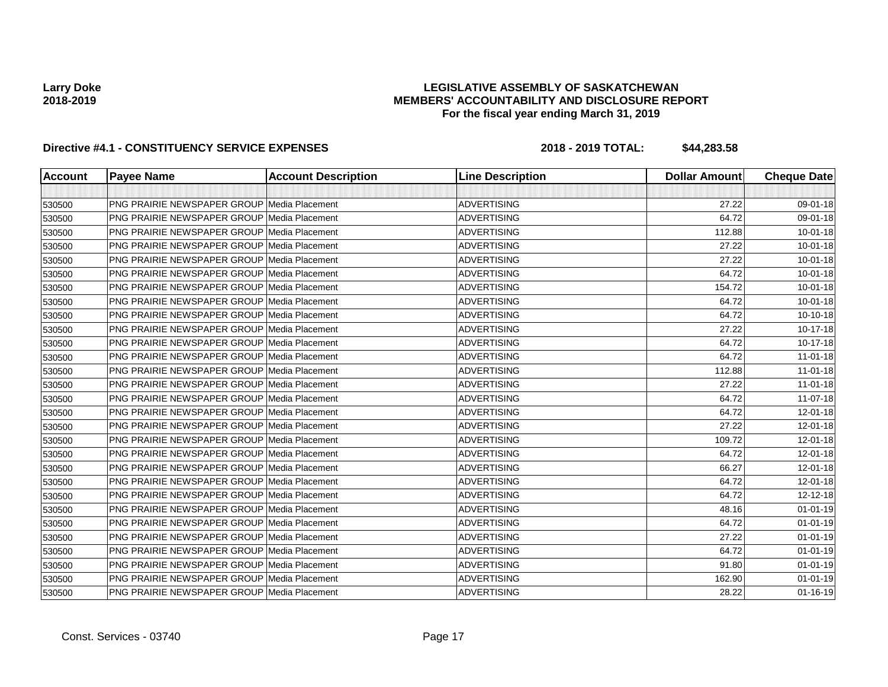### **LEGISLATIVE ASSEMBLY OF SASKATCHEWAN MEMBERS' ACCOUNTABILITY AND DISCLOSURE REPORT For the fiscal year ending March 31, 2019**

| <b>Account</b> | <b>Payee Name</b>                                  | <b>Account Description</b> | <b>Line Description</b> | <b>Dollar Amount</b> | <b>Cheque Date</b> |
|----------------|----------------------------------------------------|----------------------------|-------------------------|----------------------|--------------------|
|                |                                                    |                            |                         |                      |                    |
| 530500         | <b>PNG PRAIRIE NEWSPAPER GROUP Media Placement</b> |                            | <b>ADVERTISING</b>      | 27.22                | 09-01-18           |
| 530500         | <b>PNG PRAIRIE NEWSPAPER GROUP Media Placement</b> |                            | <b>ADVERTISING</b>      | 64.72                | 09-01-18           |
| 530500         | <b>PNG PRAIRIE NEWSPAPER GROUP Media Placement</b> |                            | <b>ADVERTISING</b>      | 112.88               | $10 - 01 - 18$     |
| 530500         | <b>PNG PRAIRIE NEWSPAPER GROUP Media Placement</b> |                            | <b>ADVERTISING</b>      | 27.22                | $10 - 01 - 18$     |
| 530500         | <b>PNG PRAIRIE NEWSPAPER GROUP Media Placement</b> |                            | <b>ADVERTISING</b>      | 27.22                | $10 - 01 - 18$     |
| 530500         | <b>PNG PRAIRIE NEWSPAPER GROUP Media Placement</b> |                            | <b>ADVERTISING</b>      | 64.72                | $10 - 01 - 18$     |
| 530500         | PNG PRAIRIE NEWSPAPER GROUP Media Placement        |                            | <b>ADVERTISING</b>      | 154.72               | $10 - 01 - 18$     |
| 530500         | <b>PNG PRAIRIE NEWSPAPER GROUP Media Placement</b> |                            | <b>ADVERTISING</b>      | 64.72                | 10-01-18           |
| 530500         | <b>PNG PRAIRIE NEWSPAPER GROUP Media Placement</b> |                            | <b>ADVERTISING</b>      | 64.72                | 10-10-18           |
| 530500         | <b>PNG PRAIRIE NEWSPAPER GROUP Media Placement</b> |                            | <b>ADVERTISING</b>      | 27.22                | 10-17-18           |
| 530500         | <b>PNG PRAIRIE NEWSPAPER GROUP Media Placement</b> |                            | <b>ADVERTISING</b>      | 64.72                | 10-17-18           |
| 530500         | PNG PRAIRIE NEWSPAPER GROUP Media Placement        |                            | <b>ADVERTISING</b>      | 64.72                | $11-01-18$         |
| 530500         | PNG PRAIRIE NEWSPAPER GROUP Media Placement        |                            | <b>ADVERTISING</b>      | 112.88               | $11-01-18$         |
| 530500         | <b>PNG PRAIRIE NEWSPAPER GROUP Media Placement</b> |                            | <b>ADVERTISING</b>      | 27.22                | $11-01-18$         |
| 530500         | PNG PRAIRIE NEWSPAPER GROUP Media Placement        |                            | <b>ADVERTISING</b>      | 64.72                | $11-07-18$         |
| 530500         | <b>PNG PRAIRIE NEWSPAPER GROUP Media Placement</b> |                            | <b>ADVERTISING</b>      | 64.72                | 12-01-18           |
| 530500         | <b>PNG PRAIRIE NEWSPAPER GROUP Media Placement</b> |                            | <b>ADVERTISING</b>      | 27.22                | 12-01-18           |
| 530500         | PNG PRAIRIE NEWSPAPER GROUP Media Placement        |                            | <b>ADVERTISING</b>      | 109.72               | 12-01-18           |
| 530500         | <b>PNG PRAIRIE NEWSPAPER GROUP Media Placement</b> |                            | <b>ADVERTISING</b>      | 64.72                | 12-01-18           |
| 530500         | PNG PRAIRIE NEWSPAPER GROUP Media Placement        |                            | <b>ADVERTISING</b>      | 66.27                | 12-01-18           |
| 530500         | <b>PNG PRAIRIE NEWSPAPER GROUP Media Placement</b> |                            | <b>ADVERTISING</b>      | 64.72                | 12-01-18           |
| 530500         | <b>PNG PRAIRIE NEWSPAPER GROUP Media Placement</b> |                            | <b>ADVERTISING</b>      | 64.72                | 12-12-18           |
| 530500         | PNG PRAIRIE NEWSPAPER GROUP Media Placement        |                            | <b>ADVERTISING</b>      | 48.16                | $01 - 01 - 19$     |
| 530500         | PNG PRAIRIE NEWSPAPER GROUP Media Placement        |                            | <b>ADVERTISING</b>      | 64.72                | $01 - 01 - 19$     |
| 530500         | <b>PNG PRAIRIE NEWSPAPER GROUP Media Placement</b> |                            | <b>ADVERTISING</b>      | 27.22                | $01 - 01 - 19$     |
| 530500         | <b>PNG PRAIRIE NEWSPAPER GROUP Media Placement</b> |                            | <b>ADVERTISING</b>      | 64.72                | $01 - 01 - 19$     |
| 530500         | <b>PNG PRAIRIE NEWSPAPER GROUP Media Placement</b> |                            | <b>ADVERTISING</b>      | 91.80                | $01 - 01 - 19$     |
| 530500         | <b>PNG PRAIRIE NEWSPAPER GROUP Media Placement</b> |                            | <b>ADVERTISING</b>      | 162.90               | $01 - 01 - 19$     |
| 530500         | PNG PRAIRIE NEWSPAPER GROUP Media Placement        |                            | <b>ADVERTISING</b>      | 28.22                | $01 - 16 - 19$     |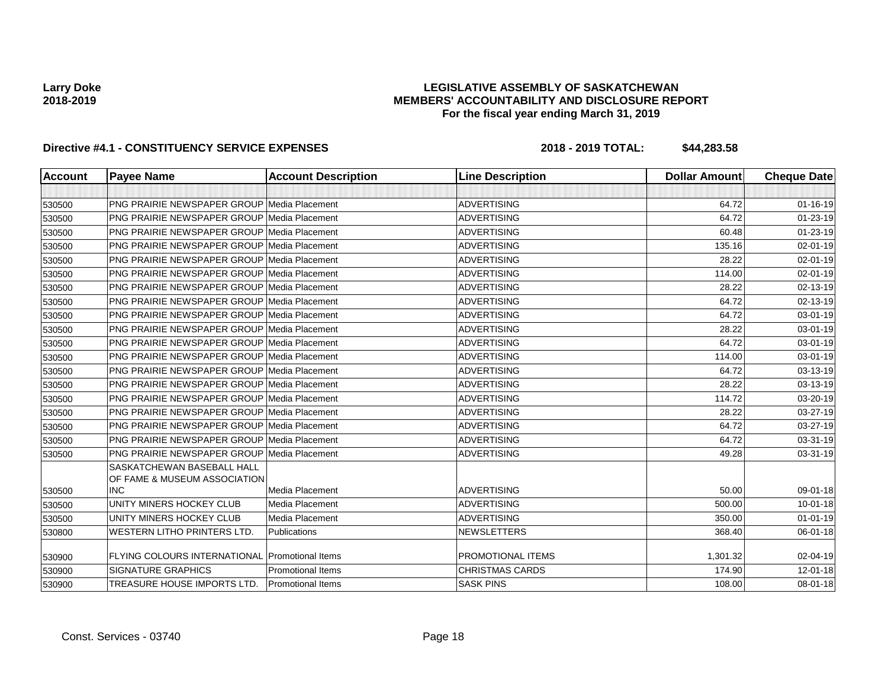## **LEGISLATIVE ASSEMBLY OF SASKATCHEWAN MEMBERS' ACCOUNTABILITY AND DISCLOSURE REPORT For the fiscal year ending March 31, 2019**

| <b>Account</b> | <b>Payee Name</b>                                          | <b>Account Description</b> | <b>Line Description</b> | <b>Dollar Amount</b> | <b>Cheque Date</b> |
|----------------|------------------------------------------------------------|----------------------------|-------------------------|----------------------|--------------------|
|                |                                                            |                            |                         |                      |                    |
| 530500         | <b>PNG PRAIRIE NEWSPAPER GROUP Media Placement</b>         |                            | <b>ADVERTISING</b>      | 64.72                | $01 - 16 - 19$     |
| 530500         | <b>PNG PRAIRIE NEWSPAPER GROUP Media Placement</b>         |                            | <b>ADVERTISING</b>      | 64.72                | 01-23-19           |
| 530500         | <b>PNG PRAIRIE NEWSPAPER GROUP Media Placement</b>         |                            | <b>ADVERTISING</b>      | 60.48                | 01-23-19           |
| 530500         | <b>PNG PRAIRIE NEWSPAPER GROUP Media Placement</b>         |                            | <b>ADVERTISING</b>      | 135.16               | 02-01-19           |
| 530500         | PNG PRAIRIE NEWSPAPER GROUP Media Placement                |                            | <b>ADVERTISING</b>      | 28.22                | 02-01-19           |
| 530500         | <b>PNG PRAIRIE NEWSPAPER GROUP Media Placement</b>         |                            | <b>ADVERTISING</b>      | 114.00               | 02-01-19           |
| 530500         | PNG PRAIRIE NEWSPAPER GROUP Media Placement                |                            | <b>ADVERTISING</b>      | 28.22                | 02-13-19           |
| 530500         | <b>PNG PRAIRIE NEWSPAPER GROUP Media Placement</b>         |                            | <b>ADVERTISING</b>      | 64.72                | 02-13-19           |
| 530500         | <b>PNG PRAIRIE NEWSPAPER GROUP Media Placement</b>         |                            | <b>ADVERTISING</b>      | 64.72                | 03-01-19           |
| 530500         | <b>PNG PRAIRIE NEWSPAPER GROUP Media Placement</b>         |                            | <b>ADVERTISING</b>      | 28.22                | 03-01-19           |
| 530500         | <b>PNG PRAIRIE NEWSPAPER GROUP Media Placement</b>         |                            | <b>ADVERTISING</b>      | 64.72                | 03-01-19           |
| 530500         | <b>PNG PRAIRIE NEWSPAPER GROUP Media Placement</b>         |                            | <b>ADVERTISING</b>      | 114.00               | 03-01-19           |
| 530500         | <b>PNG PRAIRIE NEWSPAPER GROUP Media Placement</b>         |                            | <b>ADVERTISING</b>      | 64.72                | 03-13-19           |
| 530500         | <b>PNG PRAIRIE NEWSPAPER GROUP Media Placement</b>         |                            | <b>ADVERTISING</b>      | 28.22                | 03-13-19           |
| 530500         | <b>PNG PRAIRIE NEWSPAPER GROUP Media Placement</b>         |                            | <b>ADVERTISING</b>      | 114.72               | 03-20-19           |
| 530500         | <b>PNG PRAIRIE NEWSPAPER GROUP Media Placement</b>         |                            | <b>ADVERTISING</b>      | 28.22                | 03-27-19           |
| 530500         | <b>PNG PRAIRIE NEWSPAPER GROUP Media Placement</b>         |                            | <b>ADVERTISING</b>      | 64.72                | 03-27-19           |
| 530500         | <b>PNG PRAIRIE NEWSPAPER GROUP Media Placement</b>         |                            | <b>ADVERTISING</b>      | 64.72                | 03-31-19           |
| 530500         | <b>PNG PRAIRIE NEWSPAPER GROUP Media Placement</b>         |                            | <b>ADVERTISING</b>      | 49.28                | 03-31-19           |
|                | SASKATCHEWAN BASEBALL HALL<br>OF FAME & MUSEUM ASSOCIATION |                            |                         |                      |                    |
| 530500         | <b>INC</b>                                                 | Media Placement            | <b>ADVERTISING</b>      | 50.00                | 09-01-18           |
| 530500         | UNITY MINERS HOCKEY CLUB                                   | Media Placement            | <b>ADVERTISING</b>      | 500.00               | $10 - 01 - 18$     |
| 530500         | UNITY MINERS HOCKEY CLUB                                   | Media Placement            | <b>ADVERTISING</b>      | 350.00               | $01 - 01 - 19$     |
| 530800         | <b>WESTERN LITHO PRINTERS LTD.</b>                         | <b>Publications</b>        | <b>NEWSLETTERS</b>      | 368.40               | 06-01-18           |
| 530900         | FLYING COLOURS INTERNATIONAL Promotional Items             |                            | PROMOTIONAL ITEMS       | 1,301.32             | 02-04-19           |
| 530900         | <b>SIGNATURE GRAPHICS</b>                                  | <b>Promotional Items</b>   | <b>CHRISTMAS CARDS</b>  | 174.90               | 12-01-18           |
| 530900         | TREASURE HOUSE IMPORTS LTD.                                | <b>Promotional Items</b>   | <b>SASK PINS</b>        | 108.00               | 08-01-18           |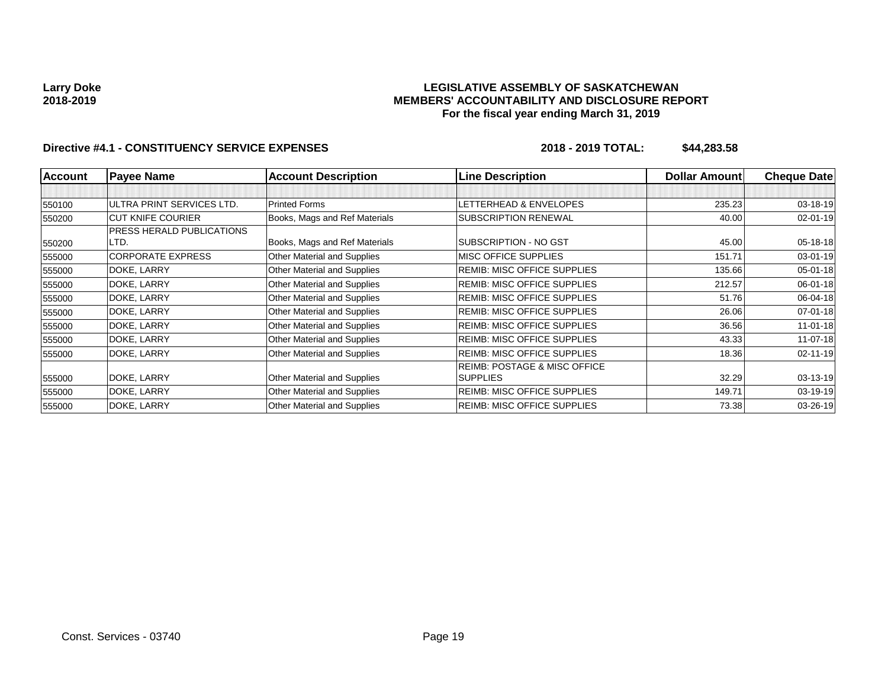### **LEGISLATIVE ASSEMBLY OF SASKATCHEWAN MEMBERS' ACCOUNTABILITY AND DISCLOSURE REPORT For the fiscal year ending March 31, 2019**

| <b>Account</b> | <b>Payee Name</b>                | <b>Account Description</b>         | <b>Line Description</b>                 | <b>Dollar Amountl</b> | <b>Cheque Date</b> |
|----------------|----------------------------------|------------------------------------|-----------------------------------------|-----------------------|--------------------|
|                |                                  |                                    |                                         |                       |                    |
| 550100         | ULTRA PRINT SERVICES LTD.        | <b>Printed Forms</b>               | LETTERHEAD & ENVELOPES                  | 235.23                | 03-18-19           |
| 550200         | <b>CUT KNIFE COURIER</b>         | Books, Mags and Ref Materials      | SUBSCRIPTION RENEWAL                    | 40.00                 | $02 - 01 - 19$     |
|                | <b>PRESS HERALD PUBLICATIONS</b> |                                    |                                         |                       |                    |
| 550200         | LTD.                             | Books, Mags and Ref Materials      | SUBSCRIPTION - NO GST                   | 45.00                 | $05 - 18 - 18$     |
| 555000         | <b>CORPORATE EXPRESS</b>         | Other Material and Supplies        | <b>MISC OFFICE SUPPLIES</b>             | 151.71                | 03-01-19           |
| 555000         | DOKE, LARRY                      | Other Material and Supplies        | <b>REMIB: MISC OFFICE SUPPLIES</b>      | 135.66                | 05-01-18           |
| 555000         | DOKE, LARRY                      | Other Material and Supplies        | REMIB: MISC OFFICE SUPPLIES             | 212.57                | 06-01-18           |
| 555000         | DOKE, LARRY                      | Other Material and Supplies        | <b>REMIB: MISC OFFICE SUPPLIES</b>      | 51.76                 | 06-04-18           |
| 555000         | DOKE, LARRY                      | Other Material and Supplies        | <b>REMIB: MISC OFFICE SUPPLIES</b>      | 26.06                 | $07 - 01 - 18$     |
| 555000         | DOKE, LARRY                      | Other Material and Supplies        | <b>REIMB: MISC OFFICE SUPPLIES</b>      | 36.56                 | $11 - 01 - 18$     |
| 555000         | DOKE, LARRY                      | Other Material and Supplies        | <b>REIMB: MISC OFFICE SUPPLIES</b>      | 43.33                 | $11-07-18$         |
| 555000         | DOKE, LARRY                      | Other Material and Supplies        | <b>REIMB: MISC OFFICE SUPPLIES</b>      | 18.36                 | $02 - 11 - 19$     |
|                |                                  |                                    | <b>REIMB: POSTAGE &amp; MISC OFFICE</b> |                       |                    |
| 555000         | DOKE, LARRY                      | <b>Other Material and Supplies</b> | <b>SUPPLIES</b>                         | 32.29                 | 03-13-19           |
| 555000         | DOKE, LARRY                      | Other Material and Supplies        | <b>REIMB: MISC OFFICE SUPPLIES</b>      | 149.71                | 03-19-19           |
| 555000         | DOKE, LARRY                      | <b>Other Material and Supplies</b> | <b>REIMB: MISC OFFICE SUPPLIES</b>      | 73.38                 | 03-26-19           |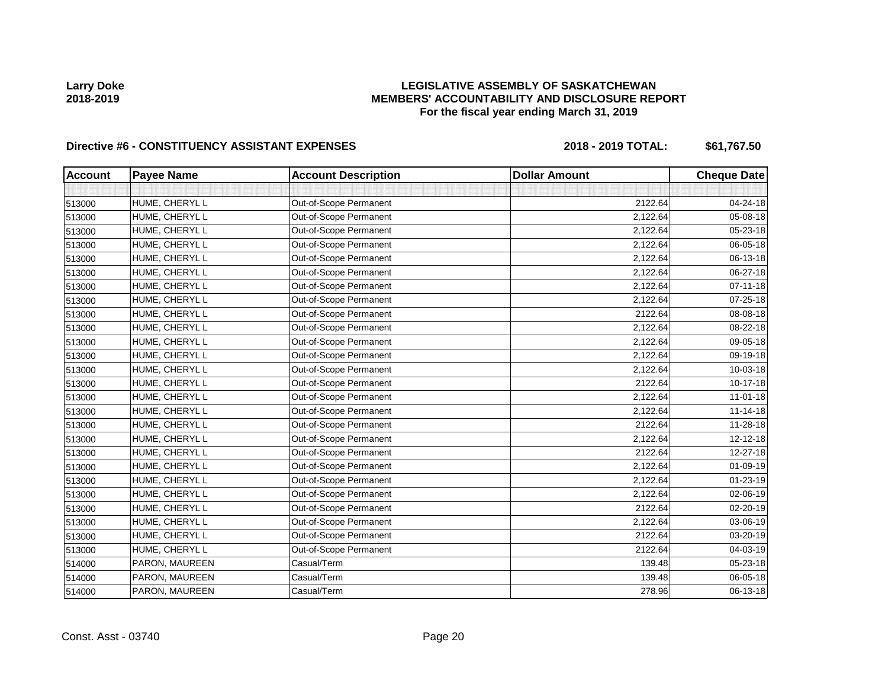## **LEGISLATIVE ASSEMBLY OF SASKATCHEWAN MEMBERS' ACCOUNTABILITY AND DISCLOSURE REPORT For the fiscal year ending March 31, 2019**

| <b>Account</b> | <b>Payee Name</b> | <b>Account Description</b> | <b>Dollar Amount</b> | <b>Cheque Date</b> |
|----------------|-------------------|----------------------------|----------------------|--------------------|
|                |                   |                            |                      |                    |
| 513000         | HUME, CHERYL L    | Out-of-Scope Permanent     | 2122.64              | 04-24-18           |
| 513000         | HUME, CHERYL L    | Out-of-Scope Permanent     | 2,122.64             | 05-08-18           |
| 513000         | HUME, CHERYL L    | Out-of-Scope Permanent     | 2,122.64             | 05-23-18           |
| 513000         | HUME, CHERYL L    | Out-of-Scope Permanent     | 2,122.64             | 06-05-18           |
| 513000         | HUME, CHERYL L    | Out-of-Scope Permanent     | 2,122.64             | 06-13-18           |
| 513000         | HUME, CHERYL L    | Out-of-Scope Permanent     | 2,122.64             | 06-27-18           |
| 513000         | HUME, CHERYL L    | Out-of-Scope Permanent     | 2,122.64             | $07 - 11 - 18$     |
| 513000         | HUME, CHERYL L    | Out-of-Scope Permanent     | 2,122.64             | 07-25-18           |
| 513000         | HUME, CHERYL L    | Out-of-Scope Permanent     | 2122.64              | 08-08-18           |
| 513000         | HUME, CHERYL L    | Out-of-Scope Permanent     | 2,122.64             | 08-22-18           |
| 513000         | HUME, CHERYL L    | Out-of-Scope Permanent     | 2,122.64             | 09-05-18           |
| 513000         | HUME, CHERYL L    | Out-of-Scope Permanent     | 2,122.64             | 09-19-18           |
| 513000         | HUME, CHERYL L    | Out-of-Scope Permanent     | 2,122.64             | 10-03-18           |
| 513000         | HUME, CHERYL L    | Out-of-Scope Permanent     | 2122.64              | 10-17-18           |
| 513000         | HUME, CHERYL L    | Out-of-Scope Permanent     | 2,122.64             | $11 - 01 - 18$     |
| 513000         | HUME, CHERYL L    | Out-of-Scope Permanent     | 2,122.64             | $11 - 14 - 18$     |
| 513000         | HUME, CHERYL L    | Out-of-Scope Permanent     | 2122.64              | 11-28-18           |
| 513000         | HUME, CHERYL L    | Out-of-Scope Permanent     | 2,122.64             | 12-12-18           |
| 513000         | HUME, CHERYL L    | Out-of-Scope Permanent     | 2122.64              | 12-27-18           |
| 513000         | HUME, CHERYL L    | Out-of-Scope Permanent     | 2,122.64             | 01-09-19           |
| 513000         | HUME, CHERYL L    | Out-of-Scope Permanent     | 2,122.64             | $01 - 23 - 19$     |
| 513000         | HUME, CHERYL L    | Out-of-Scope Permanent     | 2,122.64             | 02-06-19           |
| 513000         | HUME, CHERYL L    | Out-of-Scope Permanent     | 2122.64              | 02-20-19           |
| 513000         | HUME, CHERYL L    | Out-of-Scope Permanent     | 2,122.64             | 03-06-19           |
| 513000         | HUME, CHERYL L    | Out-of-Scope Permanent     | 2122.64              | 03-20-19           |
| 513000         | HUME, CHERYL L    | Out-of-Scope Permanent     | 2122.64              | 04-03-19           |
| 514000         | PARON, MAUREEN    | Casual/Term                | 139.48               | 05-23-18           |
| 514000         | PARON, MAUREEN    | Casual/Term                | 139.48               | 06-05-18           |
| 514000         | PARON, MAUREEN    | Casual/Term                | 278.96               | 06-13-18           |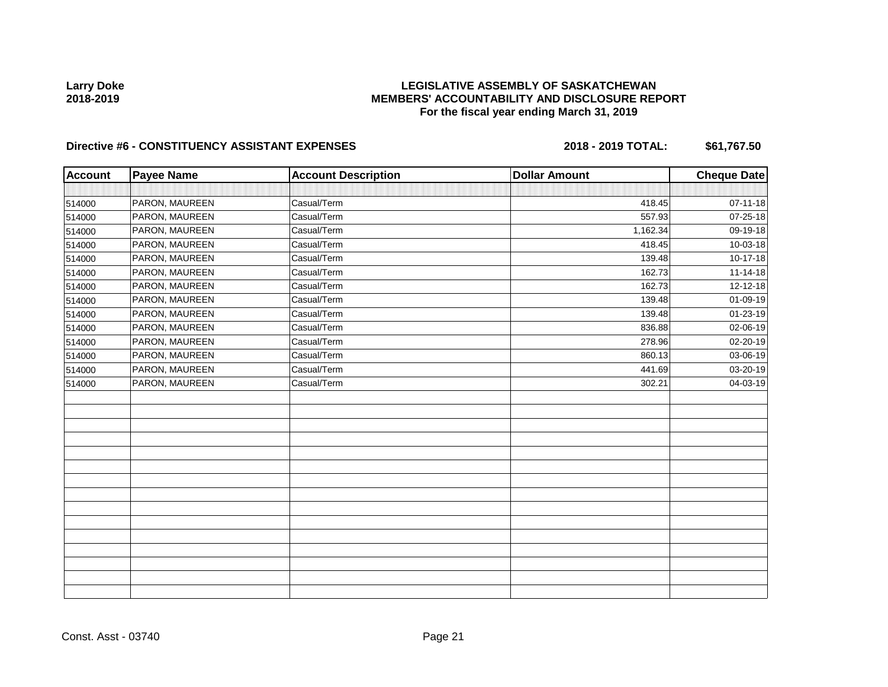## **LEGISLATIVE ASSEMBLY OF SASKATCHEWAN MEMBERS' ACCOUNTABILITY AND DISCLOSURE REPORT For the fiscal year ending March 31, 2019**

| <b>Account</b> | <b>Payee Name</b> | <b>Account Description</b> | <b>Dollar Amount</b> | <b>Cheque Date</b> |
|----------------|-------------------|----------------------------|----------------------|--------------------|
|                |                   |                            |                      |                    |
| 514000         | PARON, MAUREEN    | Casual/Term                | 418.45               | $07 - 11 - 18$     |
| 514000         | PARON, MAUREEN    | Casual/Term                | 557.93               | 07-25-18           |
| 514000         | PARON, MAUREEN    | Casual/Term                | 1,162.34             | 09-19-18           |
| 514000         | PARON, MAUREEN    | Casual/Term                | 418.45               | 10-03-18           |
| 514000         | PARON, MAUREEN    | Casual/Term                | 139.48               | 10-17-18           |
| 514000         | PARON, MAUREEN    | Casual/Term                | 162.73               | $11 - 14 - 18$     |
| 514000         | PARON, MAUREEN    | Casual/Term                | 162.73               | 12-12-18           |
| 514000         | PARON, MAUREEN    | Casual/Term                | 139.48               | 01-09-19           |
| 514000         | PARON, MAUREEN    | Casual/Term                | 139.48               | 01-23-19           |
| 514000         | PARON, MAUREEN    | Casual/Term                | 836.88               | 02-06-19           |
| 514000         | PARON, MAUREEN    | Casual/Term                | 278.96               | 02-20-19           |
| 514000         | PARON, MAUREEN    | Casual/Term                | 860.13               | 03-06-19           |
| 514000         | PARON, MAUREEN    | Casual/Term                | 441.69               | 03-20-19           |
| 514000         | PARON, MAUREEN    | Casual/Term                | 302.21               | 04-03-19           |
|                |                   |                            |                      |                    |
|                |                   |                            |                      |                    |
|                |                   |                            |                      |                    |
|                |                   |                            |                      |                    |
|                |                   |                            |                      |                    |
|                |                   |                            |                      |                    |
|                |                   |                            |                      |                    |
|                |                   |                            |                      |                    |
|                |                   |                            |                      |                    |
|                |                   |                            |                      |                    |
|                |                   |                            |                      |                    |
|                |                   |                            |                      |                    |
|                |                   |                            |                      |                    |
|                |                   |                            |                      |                    |
|                |                   |                            |                      |                    |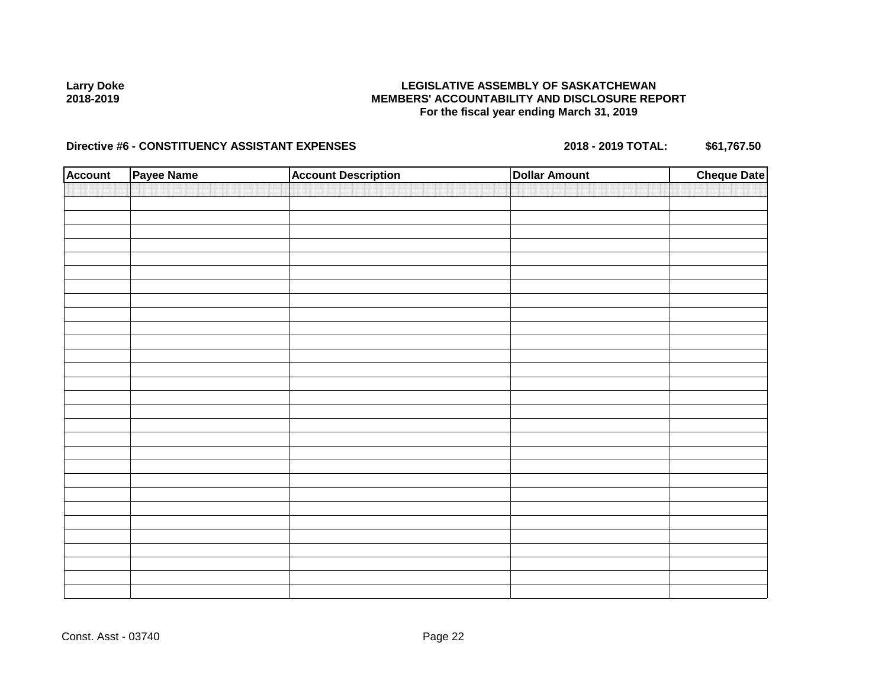## **LEGISLATIVE ASSEMBLY OF SASKATCHEWAN MEMBERS' ACCOUNTABILITY AND DISCLOSURE REPORT For the fiscal year ending March 31, 2019**

| <b>Account</b> | Payee Name | <b>Account Description</b> | <b>Dollar Amount</b> | <b>Cheque Date</b> |
|----------------|------------|----------------------------|----------------------|--------------------|
|                |            |                            |                      |                    |
|                |            |                            |                      |                    |
|                |            |                            |                      |                    |
|                |            |                            |                      |                    |
|                |            |                            |                      |                    |
|                |            |                            |                      |                    |
|                |            |                            |                      |                    |
|                |            |                            |                      |                    |
|                |            |                            |                      |                    |
|                |            |                            |                      |                    |
|                |            |                            |                      |                    |
|                |            |                            |                      |                    |
|                |            |                            |                      |                    |
|                |            |                            |                      |                    |
|                |            |                            |                      |                    |
|                |            |                            |                      |                    |
|                |            |                            |                      |                    |
|                |            |                            |                      |                    |
|                |            |                            |                      |                    |
|                |            |                            |                      |                    |
|                |            |                            |                      |                    |
|                |            |                            |                      |                    |
|                |            |                            |                      |                    |
|                |            |                            |                      |                    |
|                |            |                            |                      |                    |
|                |            |                            |                      |                    |
|                |            |                            |                      |                    |
|                |            |                            |                      |                    |
|                |            |                            |                      |                    |